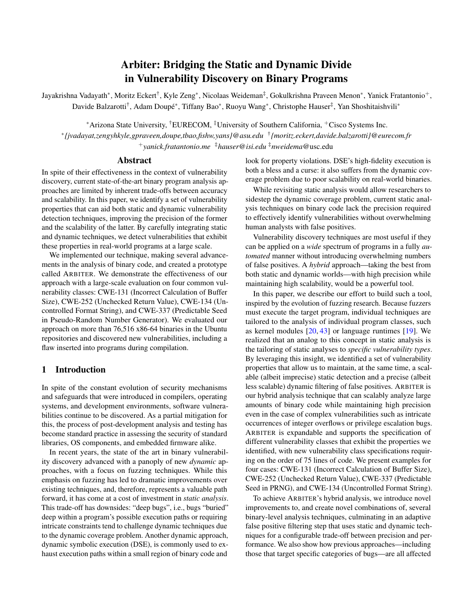# Arbiter: Bridging the Static and Dynamic Divide in Vulnerability Discovery on Binary Programs

Jayakrishna Vadayath\*, Moritz Eckert<sup>†</sup>, Kyle Zeng\*, Nicolaas Weideman<sup>‡</sup>, Gokulkrishna Praveen Menon\*, Yanick Fratantonio<sup>+</sup>, Davide Balzarotti<sup>†</sup>, Adam Doupé\*, Tiffany Bao\*, Ruoyu Wang\*, Christophe Hauser<sup>‡</sup>, Yan Shoshitaishvili\*

<sup>∗</sup>Arizona State University, †EURECOM, ‡University of Southern California, <sup>+</sup>Cisco Systems Inc.

∗ *{jvadayat,zengyhkyle,gpraveen,doupe,tbao,fishw,yans}@asu.edu* † *{moritz.eckert,davide.balzarotti}@eurecom.fr* <sup>+</sup>*yanick.fratantonio.me* ‡*hauser@isi.edu* ‡*nweidema*@usc.edu

#### Abstract

In spite of their effectiveness in the context of vulnerability discovery, current state-of-the-art binary program analysis approaches are limited by inherent trade-offs between accuracy and scalability. In this paper, we identify a set of vulnerability properties that can aid both static and dynamic vulnerability detection techniques, improving the precision of the former and the scalability of the latter. By carefully integrating static and dynamic techniques, we detect vulnerabilities that exhibit these properties in real-world programs at a large scale.

We implemented our technique, making several advancements in the analysis of binary code, and created a prototype called ARBITER. We demonstrate the effectiveness of our approach with a large-scale evaluation on four common vulnerability classes: CWE-131 (Incorrect Calculation of Buffer Size), CWE-252 (Unchecked Return Value), CWE-134 (Uncontrolled Format String), and CWE-337 (Predictable Seed in Pseudo-Random Number Generator). We evaluated our approach on more than 76,516 x86-64 binaries in the Ubuntu repositories and discovered new vulnerabilities, including a flaw inserted into programs during compilation.

## 1 Introduction

In spite of the constant evolution of security mechanisms and safeguards that were introduced in compilers, operating systems, and development environments, software vulnerabilities continue to be discovered. As a partial mitigation for this, the process of post-development analysis and testing has become standard practice in assessing the security of standard libraries, OS components, and embedded firmware alike.

In recent years, the state of the art in binary vulnerability discovery advanced with a panoply of new *dynamic* approaches, with a focus on fuzzing techniques. While this emphasis on fuzzing has led to dramatic improvements over existing techniques, and, therefore, represents a valuable path forward, it has come at a cost of investment in *static analysis*. This trade-off has downsides: "deep bugs", i.e., bugs "buried" deep within a program's possible execution paths or requiring intricate constraints tend to challenge dynamic techniques due to the dynamic coverage problem. Another dynamic approach, dynamic symbolic execution (DSE), is commonly used to exhaust execution paths within a small region of binary code and

look for property violations. DSE's high-fidelity execution is both a bless and a curse: it also suffers from the dynamic coverage problem due to poor scalability on real-world binaries.

While revisiting static analysis would allow researchers to sidestep the dynamic coverage problem, current static analysis techniques on binary code lack the precision required to effectively identify vulnerabilities without overwhelming human analysts with false positives.

Vulnerability discovery techniques are most useful if they can be applied on a *wide* spectrum of programs in a fully *automated* manner without introducing overwhelming numbers of false positives. A *hybrid* approach—taking the best from both static and dynamic worlds—with high precision while maintaining high scalability, would be a powerful tool.

In this paper, we describe our effort to build such a tool, inspired by the evolution of fuzzing research. Because fuzzers must execute the target program, individual techniques are tailored to the analysis of individual program classes, such as kernel modules  $[20, 43]$  $[20, 43]$  $[20, 43]$  or language runtimes  $[19]$ . We realized that an analog to this concept in static analysis is the tailoring of static analyses to *specific vulnerability types*. By leveraging this insight, we identified a set of vulnerability properties that allow us to maintain, at the same time, a scalable (albeit imprecise) static detection and a precise (albeit less scalable) dynamic filtering of false positives. ARBITER is our hybrid analysis technique that can scalably analyze large amounts of binary code while maintaining high precision even in the case of complex vulnerabilities such as intricate occurrences of integer overflows or privilege escalation bugs. ARBITER is expandable and supports the specification of different vulnerability classes that exhibit the properties we identified, with new vulnerability class specifications requiring on the order of 75 lines of code. We present examples for four cases: CWE-131 (Incorrect Calculation of Buffer Size), CWE-252 (Unchecked Return Value), CWE-337 (Predictable Seed in PRNG), and CWE-134 (Uncontrolled Format String).

To achieve ARBITER's hybrid analysis, we introduce novel improvements to, and create novel combinations of, several binary-level analysis techniques, culminating in an adaptive false positive filtering step that uses static and dynamic techniques for a configurable trade-off between precision and performance. We also show how previous approaches—including those that target specific categories of bugs—are all affected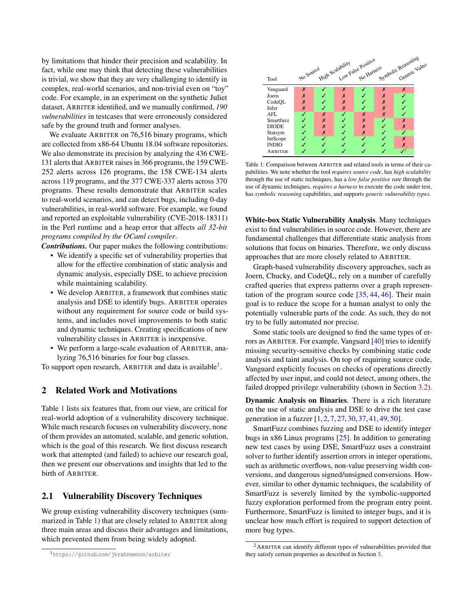by limitations that hinder their precision and scalability. In fact, while one may think that detecting these vulnerabilities is trivial, we show that they are very challenging to identify in complex, real-world scenarios, and non-trivial even on "toy" code. For example, in an experiment on the synthetic Juliet dataset, ARBITER identified, and we manually confirmed, *190 vulnerabilities* in testcases that were erroneously considered safe by the ground truth and former analyses.

We evaluate ARBITER on 76,516 binary programs, which are collected from x86-64 Ubuntu 18.04 software repositories. We also demonstrate its precision by analyzing the 436 CWE-131 alerts that ARBITER raises in 366 programs, the 159 CWE-252 alerts across 126 programs, the 158 CWE-134 alerts across 119 programs, and the 377 CWE-337 alerts across 370 programs. These results demonstrate that ARBITER scales to real-world scenarios, and can detect bugs, including 0-day vulnerabilities, in real-world software. For example, we found and reported an exploitable vulnerability (CVE-2018-18311) in the Perl runtime and a heap error that affects *all 32-bit programs compiled by the OCaml compiler*.

*Contributions.* Our paper makes the following contributions:

- We identify a specific set of vulnerability properties that allow for the effective combination of static analysis and dynamic analysis, especially DSE, to achieve precision while maintaining scalability.
- We develop ARBITER, a framework that combines static analysis and DSE to identify bugs. ARBITER operates without any requirement for source code or build systems, and includes novel improvements to both static and dynamic techniques. Creating specifications of new vulnerability classes in ARBITER is inexpensive.
- We perform a large-scale evaluation of ARBITER, analyzing 76,516 binaries for four bug classes.

To support open research, ARBITER and data is available<sup>[1](#page-1-0)</sup>.

## 2 Related Work and Motivations

Table [1](#page-1-1) lists six features that, from our view, are critical for real-world adoption of a vulnerability discovery technique. While much research focuses on vulnerability discovery, none of them provides an automated, scalable, and generic solution, which is the goal of this research. We first discuss research work that attempted (and failed) to achieve our research goal, then we present our observations and insights that led to the birth of ARBITER.

### 2.1 Vulnerability Discovery Techniques

We group existing vulnerability discovery techniques (summarized in Table [1\)](#page-1-1) that are closely related to ARBITER along three main areas and discuss their advantages and limitations, which prevented them from being widely adopted.

<span id="page-1-1"></span>

Table 1: Comparison between ARBITER and related tools in terms of their capabilities. We note whether the tool *requires source code*, has *high scalability* through the use of static techniques, has a *low false positive rate* through the use of dynamic techniques, *requires a harness* to execute the code under test, has *symbolic reasoning* capabilities, and supports *generic vulnerability types*.

White-box Static Vulnerability Analysis. Many techniques exist to find vulnerabilities in source code. However, there are fundamental challenges that differentiate static analysis from solutions that focus on binaries. Therefore, we only discuss approaches that are more closely related to ARBITER.

Graph-based vulnerability discovery approaches, such as Joern, Chucky, and CodeQL, rely on a number of carefully crafted queries that express patterns over a graph representation of the program source code [\[35,](#page-14-1) [44,](#page-14-2) [46\]](#page-14-3). Their main goal is to reduce the scope for a human analyst to only the potentially vulnerable parts of the code. As such, they do not try to be fully automated nor precise.

Some static tools are designed to find the same types of errors as ARBITER. For example, Vanguard [\[40\]](#page-14-4) tries to identify missing security-sensitive checks by combining static code analysis and taint analysis. On top of requiring source code, Vanguard explicitly focuses on checks of operations directly affected by user input, and could not detect, among others, the failed dropped privilege vulnerability (shown in Section [3.2\)](#page-4-0).

Dynamic Analysis on Binaries. There is a rich literature on the use of static analysis and DSE to drive the test case generation in a fuzzer [\[1,](#page-13-2) [2,](#page-13-3) [7,](#page-13-4) [27,](#page-14-5) [30,](#page-14-6) [37,](#page-14-7) [41,](#page-14-8) [49,](#page-14-9) [50\]](#page-14-10).

SmartFuzz combines fuzzing and DSE to identify integer bugs in x86 Linux programs [\[25\]](#page-14-11). In addition to generating new test cases by using DSE, SmartFuzz uses a constraint solver to further identify assertion errors in integer operations, such as arithmetic overflows, non-value preserving width conversions, and dangerous signed/unsigned conversions. However, similar to other dynamic techniques, the scalability of SmartFuzz is severely limited by the symbolic-supported fuzzy exploration performed from the program entry point. Furthermore, SmartFuzz is limited to integer bugs, and it is unclear how much effort is required to support detection of more bug types.

<span id="page-1-0"></span><sup>1</sup>https://github.[com/jkrshnmenon/arbiter](https://github.com/jkrshnmenon/arbiter)

<span id="page-1-2"></span><sup>2</sup>ARBITER can identify different types of vulnerabilities provided that they satisfy certain properties as described in Section [3.](#page-2-0)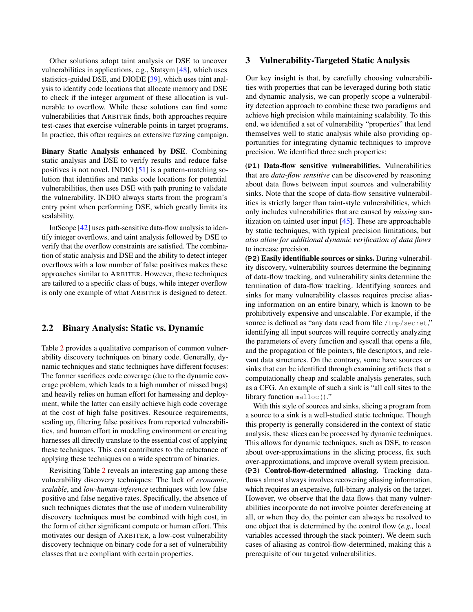Other solutions adopt taint analysis or DSE to uncover vulnerabilities in applications, e.g., Statsym [\[48\]](#page-14-12), which uses statistics-guided DSE, and DIODE [\[39\]](#page-14-13), which uses taint analysis to identify code locations that allocate memory and DSE to check if the integer argument of these allocation is vulnerable to overflow. While these solutions can find some vulnerabilities that ARBITER finds, both approaches require test-cases that exercise vulnerable points in target programs. In practice, this often requires an extensive fuzzing campaign.

Binary Static Analysis enhanced by DSE. Combining static analysis and DSE to verify results and reduce false positives is not novel. INDIO [\[51\]](#page-14-14) is a pattern-matching solution that identifies and ranks code locations for potential vulnerabilities, then uses DSE with path pruning to validate the vulnerability. INDIO always starts from the program's entry point when performing DSE, which greatly limits its scalability.

IntScope [\[42\]](#page-14-15) uses path-sensitive data-flow analysis to identify integer overflows, and taint analysis followed by DSE to verify that the overflow constraints are satisfied. The combination of static analysis and DSE and the ability to detect integer overflows with a low number of false positives makes these approaches similar to ARBITER. However, these techniques are tailored to a specific class of bugs, while integer overflow is only one example of what ARBITER is designed to detect.

### 2.2 Binary Analysis: Static vs. Dynamic

Table [2](#page-3-0) provides a qualitative comparison of common vulnerability discovery techniques on binary code. Generally, dynamic techniques and static techniques have different focuses: The former sacrifices code coverage (due to the dynamic coverage problem, which leads to a high number of missed bugs) and heavily relies on human effort for harnessing and deployment, while the latter can easily achieve high code coverage at the cost of high false positives. Resource requirements, scaling up, filtering false positives from reported vulnerabilities, and human effort in modeling environment or creating harnesses all directly translate to the essential cost of applying these techniques. This cost contributes to the reluctance of applying these techniques on a wide spectrum of binaries.

Revisiting Table [2](#page-3-0) reveals an interesting gap among these vulnerability discovery techniques: The lack of *economic*, *scalable*, and *low-human-inference* techniques with low false positive and false negative rates. Specifically, the absence of such techniques dictates that the use of modern vulnerability discovery techniques must be combined with high cost, in the form of either significant compute or human effort. This motivates our design of ARBITER, a low-cost vulnerability discovery technique on binary code for a set of vulnerability classes that are compliant with certain properties.

### <span id="page-2-0"></span>3 Vulnerability-Targeted Static Analysis

Our key insight is that, by carefully choosing vulnerabilities with properties that can be leveraged during both static and dynamic analysis, we can properly scope a vulnerability detection approach to combine these two paradigms and achieve high precision while maintaining scalability. To this end, we identified a set of vulnerability "properties" that lend themselves well to static analysis while also providing opportunities for integrating dynamic techniques to improve precision. We identified three such properties:

(**P1**) Data-flow sensitive vulnerabilities. Vulnerabilities that are *data-flow sensitive* can be discovered by reasoning about data flows between input sources and vulnerability sinks. Note that the scope of data-flow sensitive vulnerabilities is strictly larger than taint-style vulnerabilities, which only includes vulnerabilities that are caused by *missing* sanitization on tainted user input [\[45\]](#page-14-16). These are approachable by static techniques, with typical precision limitations, but *also allow for additional dynamic verification of data flows* to increase precision.

(**P2**) Easily identifiable sources or sinks. During vulnerability discovery, vulnerability sources determine the beginning of data-flow tracking, and vulnerability sinks determine the termination of data-flow tracking. Identifying sources and sinks for many vulnerability classes requires precise aliasing information on an entire binary, which is known to be prohibitively expensive and unscalable. For example, if the source is defined as "any data read from file /tmp/secret," identifying all input sources will require correctly analyzing the parameters of every function and syscall that opens a file, and the propagation of file pointers, file descriptors, and relevant data structures. On the contrary, some have sources or sinks that can be identified through examining artifacts that a computationally cheap and scalable analysis generates, such as a CFG. An example of such a sink is "all call sites to the library function malloc()."

With this style of sources and sinks, slicing a program from a source to a sink is a well-studied static technique. Though this property is generally considered in the context of static analysis, these slices can be processed by dynamic techniques. This allows for dynamic techniques, such as DSE, to reason about over-approximations in the slicing process, fix such over-approximations, and improve overall system precision. (**P3**) Control-flow-determined aliasing. Tracking dataflows almost always involves recovering aliasing information, which requires an expensive, full-binary analysis on the target. However, we observe that the data flows that many vulnerabilities incorporate do not involve pointer dereferencing at all, or when they do, the pointer can always be resolved to one object that is determined by the control flow (*e.g.,* local variables accessed through the stack pointer). We deem such cases of aliasing as control-flow-determined, making this a prerequisite of our targeted vulnerabilities.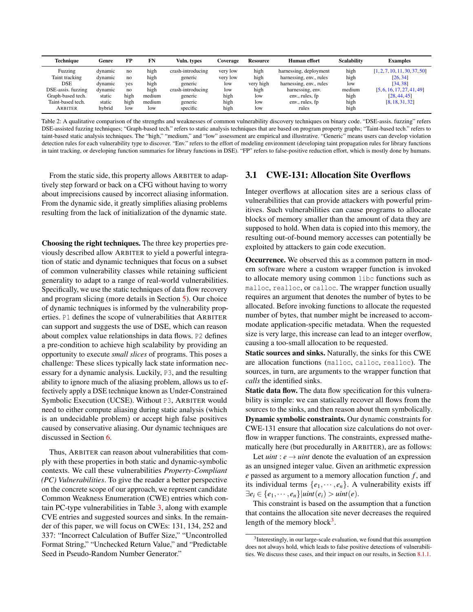<span id="page-3-0"></span>

| <b>Technique</b>   | Genre   | FP   | FN     | Vuln. types       | Coverage | <b>Resource</b> | Human effort            | <b>Scalability</b> | <b>Examples</b>               |
|--------------------|---------|------|--------|-------------------|----------|-----------------|-------------------------|--------------------|-------------------------------|
| Fuzzing            | dynamic | no   | high   | crash-introducing | very low | high            | harnessing, deployment  | high               | [1, 2, 7, 10, 11, 30, 37, 50] |
| Taint tracking     | dynamic | no   | high   | generic           | very low | high            | harnessing, env., rules | high               | [26, 34]                      |
| <b>DSE</b>         | dvnamic | yes  | high   | generic           | low      | very high       | harnessing, env., rules | low                | [34, 38]                      |
| DSE-assis. fuzzing | dynamic | no   | high   | crash-introducing | low      | high            | harnessing, env.        | medium             | [5, 6, 16, 17, 27, 41, 49]    |
| Graph-based tech.  | static  | high | medium | generic           | high     | low             | env., rules, fp         | high               | [28, 44, 45]                  |
| Taint-based tech.  | static  | high | medium | generic           | high     | low             | env., rules, fp         | high               | [8, 18, 31, 32]               |
| ARBITER            | hybrid  | low  | low    | specific          | high     | low             | rules                   | high               |                               |

Table 2: A qualitative comparison of the strengths and weaknesses of common vulnerability discovery techniques on binary code. "DSE-assis. fuzzing" refers DSE-assisted fuzzing techniques; "Graph-based tech." refers to static analysis techniques that are based on program property graphs; "Taint-based tech." refers to taint-based static analysis techniques. The "high," "medium," and "low" assessment are empirical and illustrative. "Generic" means users can develop violation detection rules for each vulnerability type to discover. "Env." refers to the effort of modeling environment (developing taint propagation rules for library functions in taint tracking, or developing function summaries for library functions in DSE). "FP" refers to false-positive reduction effort, which is mostly done by humans.

From the static side, this property allows ARBITER to adaptively step forward or back on a CFG without having to worry about imprecisions caused by incorrect aliasing information. From the dynamic side, it greatly simplifies aliasing problems resulting from the lack of initialization of the dynamic state.

Choosing the right techniques. The three key properties previously described allow ARBITER to yield a powerful integration of static and dynamic techniques that focus on a subset of common vulnerability classes while retaining sufficient generality to adapt to a range of real-world vulnerabilities. Specifically, we use the static techniques of data flow recovery and program slicing (more details in Section [5\)](#page-5-0). Our choice of dynamic techniques is informed by the vulnerability properties. P1 defines the scope of vulnerabilities that ARBITER can support and suggests the use of DSE, which can reason about complex value relationships in data flows. P2 defines a pre-condition to achieve high scalability by providing an opportunity to execute *small slices* of programs. This poses a challenge: These slices typically lack state information necessary for a dynamic analysis. Luckily, P3, and the resulting ability to ignore much of the aliasing problem, allows us to effectively apply a DSE technique known as Under-Constrained Symbolic Execution (UCSE). Without P3, ARBITER would need to either compute aliasing during static analysis (which is an undecidable problem) or accept high false positives caused by conservative aliasing. Our dynamic techniques are discussed in Section [6.](#page-6-0)

Thus, ARBITER can reason about vulnerabilities that comply with these properties in both static and dynamic-symbolic contexts. We call these vulnerabilities *Property-Compliant (PC) Vulnerabilities*. To give the reader a better perspective on the concrete scope of our approach, we represent candidate Common Weakness Enumeration (CWE) entries which contain PC-type vulnerabilities in Table [3,](#page-4-1) along with example CVE entries and suggested sources and sinks. In the remainder of this paper, we will focus on CWEs: 131, 134, 252 and 337: "Incorrect Calculation of Buffer Size," "Uncontrolled Format String," "Unchecked Return Value," and "Predictable Seed in Pseudo-Random Number Generator."

## <span id="page-3-2"></span>3.1 CWE-131: Allocation Site Overflows

Integer overflows at allocation sites are a serious class of vulnerabilities that can provide attackers with powerful primitives. Such vulnerabilities can cause programs to allocate blocks of memory smaller than the amount of data they are supposed to hold. When data is copied into this memory, the resulting out-of-bound memory accesses can potentially be exploited by attackers to gain code execution.

Occurrence. We observed this as a common pattern in modern software where a custom wrapper function is invoked to allocate memory using common libc functions such as malloc, realloc, or calloc. The wrapper function usually requires an argument that denotes the number of bytes to be allocated. Before invoking functions to allocate the requested number of bytes, that number might be increased to accommodate application-specific metadata. When the requested size is very large, this increase can lead to an integer overflow, causing a too-small allocation to be requested.

Static sources and sinks. Naturally, the sinks for this CWE are allocation functions (malloc, calloc, realloc). The sources, in turn, are arguments to the wrapper function that *calls* the identified sinks.

Static data flow. The data flow specification for this vulnerability is simple: we can statically recover all flows from the sources to the sinks, and then reason about them symbolically. Dynamic symbolic constraints. Our dynamic constraints for CWE-131 ensure that allocation size calculations do not overflow in wrapper functions. The constraints, expressed mathematically here (but procedurally in ARBITER), are as follows:

Let *uint* :  $e \rightarrow$  *uint* denote the evaluation of an expression as an unsigned integer value. Given an arithmetic expression *e* passed as argument to a memory allocation function *f* , and its individual terms  $\{e_1, \dots, e_n\}$ . A vulnerability exists iff  $\exists e_i \in \{e_1, \dots, e_n\} |$ *uint* $(e_i) >$ *uint* $(e_i)$ .

This constraint is based on the assumption that a function that contains the allocation site never decreases the required length of the memory block<sup>[3](#page-3-1)</sup>.

<span id="page-3-1"></span><sup>&</sup>lt;sup>3</sup>Interestingly, in our large-scale evaluation, we found that this assumption does not always hold, which leads to false positive detections of vulnerabilities. We discuss these cases, and their impact on our results, in Section [8.1.1.](#page-8-0)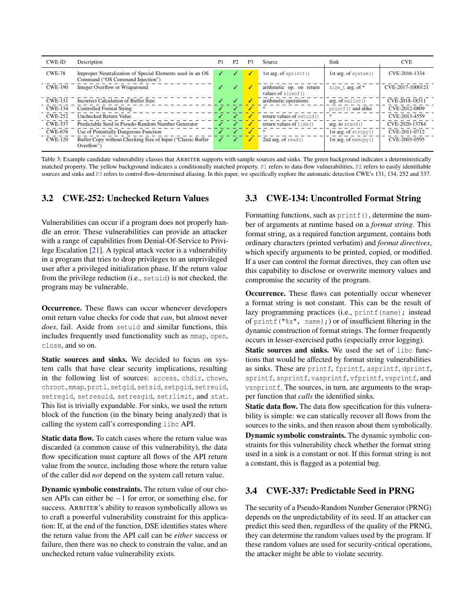<span id="page-4-1"></span>

| <b>CWE-ID</b>  | Description                                                                                   | P1 | P <sub>2</sub> | P <sub>3</sub> | Source                                           | Sink                    | <b>CVE</b>       |
|----------------|-----------------------------------------------------------------------------------------------|----|----------------|----------------|--------------------------------------------------|-------------------------|------------------|
| <b>CWE-78</b>  | Improper Neutralization of Special Elements used in an OS<br>Command ("OS Command Injection") |    |                |                | 1st arg. of $spring()$                           | 1st arg. of system ()   | CVE-2016-1334    |
| <b>CWE-190</b> | Integer Overflow or Wraparound                                                                |    |                | ℐ              | arithmetic op. on return<br>values of size of () | size_t arg. of *        | CVE-2017-1000121 |
| <b>CWE-131</b> | Incorrect Calculation of Buffer Size                                                          | ✓  | ✓              | ✓              | arithmetic operations                            | arg. of malloc()        | CVE-2018-18311   |
| <b>CWE-134</b> | <b>Controlled Format String</b>                                                               | ✓  |                |                |                                                  | printf() and alike      | CVE-2012-0809    |
| <b>CWE-252</b> | Unchecked Return Value                                                                        | ℐ  |                | ℐ              | return values of setuid()                        |                         | CVE-2013-4559    |
| <b>CWE-337</b> | Predictable Seed in Pseudo-Random Number Generator                                            |    |                |                | return values of time ()                         | arg. to srand ()        | CVE-2020-13784   |
| <b>CWE-676</b> | Use of Potentially Dangerous Function                                                         |    |                |                | *                                                | 1st arg. of strcpy()    | CVE-2011-0712    |
| <b>CWE-120</b> | Buffer Copy without Checking Size of Input ("Classic Buffer<br>Overflow")                     |    |                |                | 2nd arg. of $read()$                             | 1st arg. of memory $()$ | CVE-2003-0595    |

Table 3: Example candidate vulnerability classes that ARBITER supports with sample sources and sinks. The green background indicates a deterministically matched property. The yellow background indicates a conditionally matched property. P1 refers to data-flow vulnerabilities, P2 refers to easily identifiable sources and sinks and P3 refers to control-flow-determined aliasing. In this paper, we specifically explore the automatic detection CWE's 131, 134, 252 and 337.

## <span id="page-4-0"></span>3.2 CWE-252: Unchecked Return Values

Vulnerabilities can occur if a program does not properly handle an error. These vulnerabilities can provide an attacker with a range of capabilities from Denial-Of-Service to Privilege Escalation [\[21\]](#page-13-13). A typical attack vector is a vulnerability in a program that tries to drop privileges to an unprivileged user after a privileged initialization phase. If the return value from the privilege reduction (i.e., setuid) is not checked, the program may be vulnerable.

Occurrence. These flaws can occur whenever developers omit return value checks for code that *can*, but almost never *does*, fail. Aside from setuid and similar functions, this includes frequently used functionality such as mmap, open, close, and so on.

Static sources and sinks. We decided to focus on system calls that have clear security implications, resulting in the following list of sources: access, chdir, chown, chroot, mmap, prctl, setgid, setsid, setpgid, setreuid, setregid, setresuid, setresgid, setrlimit, and stat. This list is trivially expandable. For sinks, we used the return block of the function (in the binary being analyzed) that is calling the system call's corresponding libc API.

Static data flow. To catch cases where the return value was discarded (a common cause of this vulnerability), the data flow specification must capture all flows of the API return value from the source, including those where the return value of the caller did *not* depend on the system call return value.

Dynamic symbolic constraints. The return value of our chosen APIs can either be −1 for error, or something else, for success. ARBITER's ability to reason symbolically allows us to craft a powerful vulnerability constraint for this application: If, at the end of the function, DSE identifies states where the return value from the API call can be *either* success or failure, then there was no check to constrain the value, and an unchecked return value vulnerability exists.

### <span id="page-4-2"></span>3.3 CWE-134: Uncontrolled Format String

Formatting functions, such as  $print(f)$ , determine the number of arguments at runtime based on a *format string*. This format string, as a required function argument, contains both ordinary characters (printed verbatim) and *format directives*, which specify arguments to be printed, copied, or modified. If a user can control the format directives, they can often use this capability to disclose or overwrite memory values and compromise the security of the program.

Occurrence. These flaws can potentially occur whenever a format string is not constant. This can be the result of lazy programming practices (i.e., printf(name); instead of printf(" $\frac{1}{8}$ s", name);) or of insufficient filtering in the dynamic construction of format strings. The former frequently occurs in lesser-exercised paths (especially error logging).

Static sources and sinks. We used the set of libc functions that would be affected by format string vulnerabilities as sinks. These are printf, fprintf, asprintf, dprintf, sprintf, snprintf, vasprintf, vfprintf, vsprintf, and vsnprintf. The sources, in turn, are arguments to the wrapper function that *calls* the identified sinks.

Static data flow. The data flow specification for this vulnerability is simple: we can statically recover all flows from the sources to the sinks, and then reason about them symbolically. Dynamic symbolic constraints. The dynamic symbolic constraints for this vulnerability check whether the format string used in a sink is a constant or not. If this format string is not a constant, this is flagged as a potential bug.

## 3.4 CWE-337: Predictable Seed in PRNG

The security of a Pseudo-Random Number Generator (PRNG) depends on the unpredictability of its seed. If an attacker can predict this seed then, regardless of the quality of the PRNG, they can determine the random values used by the program. If these random values are used for security-critical operations, the attacker might be able to violate security.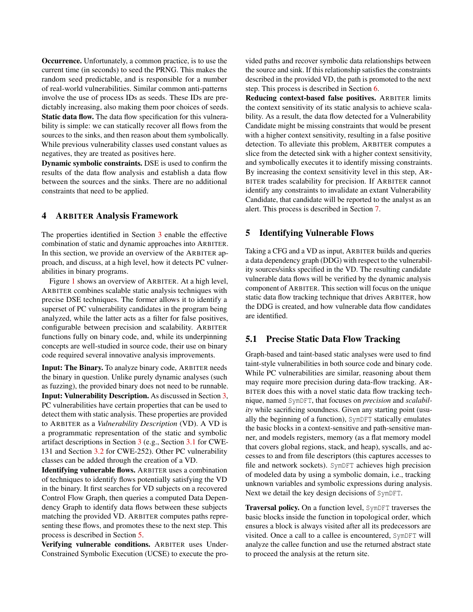Occurrence. Unfortunately, a common practice, is to use the current time (in seconds) to seed the PRNG. This makes the random seed predictable, and is responsible for a number of real-world vulnerabilities. Similar common anti-patterns involve the use of process IDs as seeds. These IDs are predictably increasing, also making them poor choices of seeds. Static data flow. The data flow specification for this vulnerability is simple: we can statically recover all flows from the sources to the sinks, and then reason about them symbolically. While previous vulnerability classes used constant values as negatives, they are treated as positives here.

Dynamic symbolic constraints. DSE is used to confirm the results of the data flow analysis and establish a data flow between the sources and the sinks. There are no additional constraints that need to be applied.

### 4 ARBITER Analysis Framework

The properties identified in Section [3](#page-2-0) enable the effective combination of static and dynamic approaches into ARBITER. In this section, we provide an overview of the ARBITER approach, and discuss, at a high level, how it detects PC vulnerabilities in binary programs.

Figure [1](#page-6-1) shows an overview of ARBITER. At a high level, ARBITER combines scalable static analysis techniques with precise DSE techniques. The former allows it to identify a superset of PC vulnerability candidates in the program being analyzed, while the latter acts as a filter for false positives, configurable between precision and scalability. ARBITER functions fully on binary code, and, while its underpinning concepts are well-studied in source code, their use on binary code required several innovative analysis improvements.

Input: The Binary. To analyze binary code, ARBITER needs the binary in question. Unlike purely dynamic analyses (such as fuzzing), the provided binary does not need to be runnable. Input: Vulnerability Description. As discussed in Section [3,](#page-2-0) PC vulnerabilities have certain properties that can be used to detect them with static analysis. These properties are provided to ARBITER as a *Vulnerability Description* (VD). A VD is a programmatic representation of the static and symbolic artifact descriptions in Section [3](#page-2-0) (e.g., Section [3.1](#page-3-2) for CWE-131 and Section [3.2](#page-4-0) for CWE-252). Other PC vulnerability classes can be added through the creation of a VD.

Identifying vulnerable flows. ARBITER uses a combination of techniques to identify flows potentially satisfying the VD in the binary. It first searches for VD subjects on a recovered Control Flow Graph, then queries a computed Data Dependency Graph to identify data flows between these subjects matching the provided VD. ARBITER computes paths representing these flows, and promotes these to the next step. This process is described in Section [5.](#page-5-0)

Verifying vulnerable conditions. ARBITER uses Under-Constrained Symbolic Execution (UCSE) to execute the provided paths and recover symbolic data relationships between the source and sink. If this relationship satisfies the constraints described in the provided VD, the path is promoted to the next step. This process is described in Section [6.](#page-6-0)

Reducing context-based false positives. ARBITER limits the context sensitivity of its static analysis to achieve scalability. As a result, the data flow detected for a Vulnerability Candidate might be missing constraints that would be present with a higher context sensitivity, resulting in a false positive detection. To alleviate this problem, ARBITER computes a slice from the detected sink with a higher context sensitivity, and symbolically executes it to identify missing constraints. By increasing the context sensitivity level in this step, AR-BITER trades scalability for precision. If ARBITER cannot identify any constraints to invalidate an extant Vulnerability Candidate, that candidate will be reported to the analyst as an alert. This process is described in Section [7.](#page-7-0)

### <span id="page-5-0"></span>5 Identifying Vulnerable Flows

Taking a CFG and a VD as input, ARBITER builds and queries a data dependency graph (DDG) with respect to the vulnerability sources/sinks specified in the VD. The resulting candidate vulnerable data flows will be verified by the dynamic analysis component of ARBITER. This section will focus on the unique static data flow tracking technique that drives ARBITER, how the DDG is created, and how vulnerable data flow candidates are identified.

### 5.1 Precise Static Data Flow Tracking

Graph-based and taint-based static analyses were used to find taint-style vulnerabilities in both source code and binary code. While PC vulnerabilities are similar, reasoning about them may require more precision during data-flow tracking. AR-BITER does this with a novel static data flow tracking technique, named SymDFT, that focuses on *precision* and *scalability* while sacrificing soundness. Given any starting point (usually the beginning of a function), SymDFT statically emulates the basic blocks in a context-sensitive and path-sensitive manner, and models registers, memory (as a flat memory model that covers global regions, stack, and heap), syscalls, and accesses to and from file descriptors (this captures accesses to file and network sockets). SymDFT achieves high precision of modeled data by using a symbolic domain, i.e., tracking unknown variables and symbolic expressions during analysis. Next we detail the key design decisions of SymDFT.

Traversal policy. On a function level, SymDFT traverses the basic blocks inside the function in topological order, which ensures a block is always visited after all its predecessors are visited. Once a call to a callee is encountered, SymDFT will analyze the callee function and use the returned abstract state to proceed the analysis at the return site.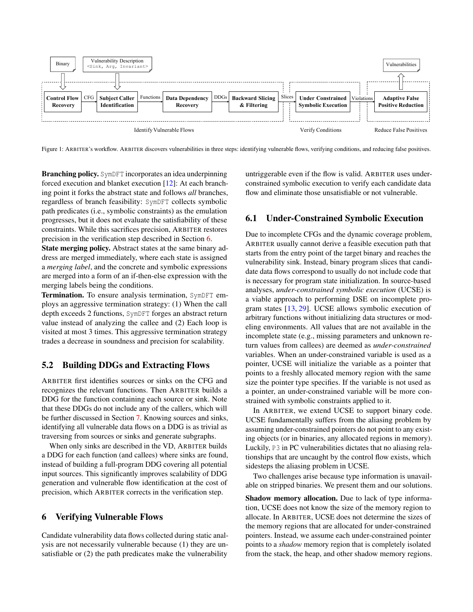<span id="page-6-1"></span>

Figure 1: ARBITER's workflow. ARBITER discovers vulnerabilities in three steps: identifying vulnerable flows, verifying conditions, and reducing false positives.

Branching policy. SymDFT incorporates an idea underpinning forced execution and blanket execution [\[12\]](#page-13-14): At each branching point it forks the abstract state and follows *all* branches, regardless of branch feasibility: SymDFT collects symbolic path predicates (i.e., symbolic constraints) as the emulation progresses, but it does not evaluate the satisfiability of these constraints. While this sacrifices precision, ARBITER restores precision in the verification step described in Section [6.](#page-6-0)

State merging policy. Abstract states at the same binary address are merged immediately, where each state is assigned a *merging label*, and the concrete and symbolic expressions are merged into a form of an if-then-else expression with the merging labels being the conditions.

Termination. To ensure analysis termination, SymDFT employs an aggressive termination strategy: (1) When the call depth exceeds 2 functions, SymDFT forges an abstract return value instead of analyzing the callee and (2) Each loop is visited at most 3 times. This aggressive termination strategy trades a decrease in soundness and precision for scalability.

## 5.2 Building DDGs and Extracting Flows

ARBITER first identifies sources or sinks on the CFG and recognizes the relevant functions. Then ARBITER builds a DDG for the function containing each source or sink. Note that these DDGs do not include any of the callers, which will be further discussed in Section [7.](#page-7-0) Knowing sources and sinks, identifying all vulnerable data flows on a DDG is as trivial as traversing from sources or sinks and generate subgraphs.

When only sinks are described in the VD, ARBITER builds a DDG for each function (and callees) where sinks are found, instead of building a full-program DDG covering all potential input sources. This significantly improves scalability of DDG generation and vulnerable flow identification at the cost of precision, which ARBITER corrects in the verification step.

#### <span id="page-6-0"></span>6 Verifying Vulnerable Flows

Candidate vulnerability data flows collected during static analysis are not necessarily vulnerable because (1) they are unsatisfiable or (2) the path predicates make the vulnerability

untriggerable even if the flow is valid. ARBITER uses underconstrained symbolic execution to verify each candidate data flow and eliminate those unsatisfiable or not vulnerable.

### 6.1 Under-Constrained Symbolic Execution

Due to incomplete CFGs and the dynamic coverage problem, ARBITER usually cannot derive a feasible execution path that starts from the entry point of the target binary and reaches the vulnerability sink. Instead, binary program slices that candidate data flows correspond to usually do not include code that is necessary for program state initialization. In source-based analyses, *under-constrained symbolic execution* (UCSE) is a viable approach to performing DSE on incomplete program states [\[13,](#page-13-15) [29\]](#page-14-23). UCSE allows symbolic execution of arbitrary functions without initializing data structures or modeling environments. All values that are not available in the incomplete state (e.g., missing parameters and unknown return values from callees) are deemed as *under-constrained* variables. When an under-constrained variable is used as a pointer, UCSE will initialize the variable as a pointer that points to a freshly allocated memory region with the same size the pointer type specifies. If the variable is not used as a pointer, an under-constrained variable will be more constrained with symbolic constraints applied to it.

In ARBITER, we extend UCSE to support binary code. UCSE fundamentally suffers from the aliasing problem by assuming under-constrained pointers do not point to any existing objects (or in binaries, any allocated regions in memory). Luckily, P3 in PC vulnerabilities dictates that no aliasing relationships that are uncaught by the control flow exists, which sidesteps the aliasing problem in UCSE.

Two challenges arise because type information is unavailable on stripped binaries. We present them and our solutions.

Shadow memory allocation. Due to lack of type information, UCSE does not know the size of the memory region to allocate. In ARBITER, UCSE does not determine the sizes of the memory regions that are allocated for under-constrained pointers. Instead, we assume each under-constrained pointer points to a *shadow* memory region that is completely isolated from the stack, the heap, and other shadow memory regions.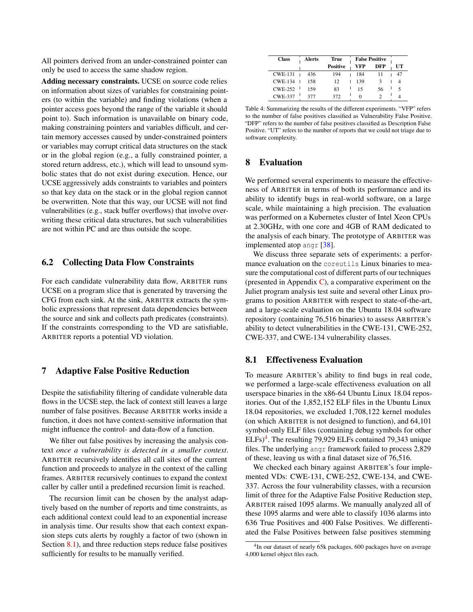All pointers derived from an under-constrained pointer can only be used to access the same shadow region.

Adding necessary constraints. UCSE on source code relies on information about sizes of variables for constraining pointers (to within the variable) and finding violations (when a pointer access goes beyond the range of the variable it should point to). Such information is unavailable on binary code, making constraining pointers and variables difficult, and certain memory accesses caused by under-constrained pointers or variables may corrupt critical data structures on the stack or in the global region (e.g., a fully constrained pointer, a stored return address, etc.), which will lead to unsound symbolic states that do not exist during execution. Hence, our UCSE aggressively adds constraints to variables and pointers so that key data on the stack or in the global region cannot be overwritten. Note that this way, our UCSE will not find vulnerabilities (e.g., stack buffer overflows) that involve overwriting these critical data structures, but such vulnerabilities are not within PC and are thus outside the scope.

### 6.2 Collecting Data Flow Constraints

For each candidate vulnerability data flow, ARBITER runs UCSE on a program slice that is generated by traversing the CFG from each sink. At the sink, ARBITER extracts the symbolic expressions that represent data dependencies between the source and sink and collects path predicates (constraints). If the constraints corresponding to the VD are satisfiable, ARBITER reports a potential VD violation.

## <span id="page-7-0"></span>7 Adaptive False Positive Reduction

Despite the satisfiability filtering of candidate vulnerable data flows in the UCSE step, the lack of context still leaves a large number of false positives. Because ARBITER works inside a function, it does not have context-sensitive information that might influence the control- and data-flow of a function.

We filter out false positives by increasing the analysis context *once a vulnerability is detected in a smaller context*. ARBITER recursively identifies all call sites of the current function and proceeds to analyze in the context of the calling frames. ARBITER recursively continues to expand the context caller by caller until a predefined recursion limit is reached.

The recursion limit can be chosen by the analyst adaptively based on the number of reports and time constraints, as each additional context could lead to an exponential increase in analysis time. Our results show that each context expansion steps cuts alerts by roughly a factor of two (shown in Section [8.1\)](#page-7-1), and three reduction steps reduce false positives sufficiently for results to be manually verified.

<span id="page-7-3"></span>

| <b>Class</b>   | Alerts |     | True            |  | <b>False Positive</b> |     |  |    |
|----------------|--------|-----|-----------------|--|-----------------------|-----|--|----|
|                |        |     | <b>Positive</b> |  | VFP                   | DFP |  | UТ |
| <b>CWE-131</b> |        | 436 | 194             |  | 184                   |     |  |    |
| <b>CWF-134</b> |        | 158 | 12              |  | 139                   |     |  |    |
| <b>CWE-252</b> |        | 159 | 83              |  | 15                    | 56  |  |    |
| <b>CWE-337</b> |        | 377 | 372             |  |                       |     |  |    |

Table 4: Summarizing the results of the different experiments. "VFP" refers to the number of false positives classified as Vulnerability False Positive. "DFP" refers to the number of false positives classified as Description False Positive. "UT" refers to the number of reports that we could not triage due to software complexity.

### 8 Evaluation

We performed several experiments to measure the effectiveness of ARBITER in terms of both its performance and its ability to identify bugs in real-world software, on a large scale, while maintaining a high precision. The evaluation was performed on a Kubernetes cluster of Intel Xeon CPUs at 2.30GHz, with one core and 4GB of RAM dedicated to the analysis of each binary. The prototype of ARBITER was implemented atop angr [\[38\]](#page-14-19).

We discuss three separate sets of experiments: a performance evaluation on the coreutils Linux binaries to measure the computational cost of different parts of our techniques (presented in Appendix  $C$ ), a comparative experiment on the Juliet program analysis test suite and several other Linux programs to position ARBITER with respect to state-of-the-art, and a large-scale evaluation on the Ubuntu 18.04 software repository (containing 76,516 binaries) to assess ARBITER's ability to detect vulnerabilities in the CWE-131, CWE-252, CWE-337, and CWE-134 vulnerability classes.

#### <span id="page-7-1"></span>8.1 Effectiveness Evaluation

To measure ARBITER's ability to find bugs in real code, we performed a large-scale effectiveness evaluation on all userspace binaries in the x86-64 Ubuntu Linux 18.04 repositories. Out of the 1,852,152 ELF files in the Ubuntu Linux 18.04 repositories, we excluded 1,708,122 kernel modules (on which ARBITER is not designed to function), and 64,101 symbol-only ELF files (containing debug symbols for other  $ELFs$ <sup>[4](#page-7-2)</sup>. The resulting 79,929 ELFs contained 79,343 unique files. The underlying angr framework failed to process 2,829 of these, leaving us with a final dataset size of 76,516.

We checked each binary against ARBITER's four implemented VDs: CWE-131, CWE-252, CWE-134, and CWE-337. Across the four vulnerability classes, with a recursion limit of three for the Adaptive False Positive Reduction step, ARBITER raised 1095 alarms. We manually analyzed all of these 1095 alarms and were able to classify 1036 alarms into 636 True Positives and 400 False Positives. We differentiated the False Positives between false positives stemming

<span id="page-7-2"></span><sup>&</sup>lt;sup>4</sup>In our dataset of nearly 65k packages, 600 packages have on average 4,000 kernel object files each.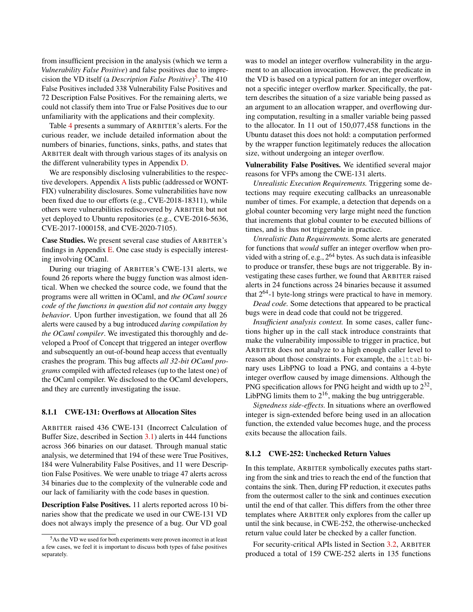from insufficient precision in the analysis (which we term a *Vulnerability False Positive*) and false positives due to imprecision the VD itself (a *Description False Positive*) [5](#page-8-1) . The 410 False Positives included 338 Vulnerability False Positives and 72 Description False Positives. For the remaining alerts, we could not classify them into True or False Positives due to our unfamiliarity with the applications and their complexity.

Table [4](#page-7-3) presents a summary of ARBITER's alerts. For the curious reader, we include detailed information about the numbers of binaries, functions, sinks, paths, and states that ARBITER dealt with through various stages of its analysis on the different vulnerability types in Appendix [D.](#page-16-1)

We are responsibly disclosing vulnerabilities to the respective developers. Appendix [A](#page-15-0) lists public (addressed or WONT-FIX) vulnerability disclosures. Some vulnerabilities have now been fixed due to our efforts (e.g., CVE-2018-18311), while others were vulnerabilities rediscovered by ARBITER but not yet deployed to Ubuntu repositories (e.g., CVE-2016-5636, CVE-2017-1000158, and CVE-2020-7105).

Case Studies. We present several case studies of ARBITER's findings in Appendix  $E$ . One case study is especially interesting involving OCaml.

During our triaging of ARBITER's CWE-131 alerts, we found 26 reports where the buggy function was almost identical. When we checked the source code, we found that the programs were all written in OCaml, and *the OCaml source code of the functions in question did not contain any buggy behavior*. Upon further investigation, we found that all 26 alerts were caused by a bug introduced *during compilation by the OCaml compiler*. We investigated this thoroughly and developed a Proof of Concept that triggered an integer overflow and subsequently an out-of-bound heap access that eventually crashes the program. This bug affects *all 32-bit OCaml programs* compiled with affected releases (up to the latest one) of the OCaml compiler. We disclosed to the OCaml developers, and they are currently investigating the issue.

#### <span id="page-8-0"></span>8.1.1 CWE-131: Overflows at Allocation Sites

ARBITER raised 436 CWE-131 (Incorrect Calculation of Buffer Size, described in Section [3.1\)](#page-3-2) alerts in 444 functions across 366 binaries on our dataset. Through manual static analysis, we determined that 194 of these were True Positives, 184 were Vulnerability False Positives, and 11 were Description False Positives. We were unable to triage 47 alerts across 34 binaries due to the complexity of the vulnerable code and our lack of familiarity with the code bases in question.

Description False Positives. 11 alerts reported across 10 binaries show that the predicate we used in our CWE-131 VD does not always imply the presence of a bug. Our VD goal

was to model an integer overflow vulnerability in the argument to an allocation invocation. However, the predicate in the VD is based on a typical pattern for an integer overflow, not a specific integer overflow marker. Specifically, the pattern describes the situation of a size variable being passed as an argument to an allocation wrapper, and overflowing during computation, resulting in a smaller variable being passed to the allocator. In 11 out of 150,077,458 functions in the Ubuntu dataset this does not hold: a computation performed by the wrapper function legitimately reduces the allocation size, without undergoing an integer overflow.

Vulnerability False Positives. We identified several major reasons for VFPs among the CWE-131 alerts.

*Unrealistic Execution Requirements.* Triggering some detections may require executing callbacks an unreasonable number of times. For example, a detection that depends on a global counter becoming very large might need the function that increments that global counter to be executed billions of times, and is thus not triggerable in practice.

*Unrealistic Data Requirements.* Some alerts are generated for functions that *would* suffer an integer overflow when provided with a string of, e.g.,  $2^{64}$  bytes. As such data is infeasible to produce or transfer, these bugs are not triggerable. By investigating these cases further, we found that ARBITER raised alerts in 24 functions across 24 binaries because it assumed that  $2^{64}$ -1 byte-long strings were practical to have in memory.

*Dead code.* Some detections that appeared to be practical bugs were in dead code that could not be triggered.

*Insufficient analysis context.* In some cases, caller functions higher up in the call stack introduce constraints that make the vulnerability impossible to trigger in practice, but ARBITER does not analyze to a high enough caller level to reason about those constraints. For example, the alttab binary uses LibPNG to load a PNG, and contains a 4-byte integer overflow caused by image dimensions. Although the PNG specification allows for PNG height and width up to  $2^{32}$ , LibPNG limits them to  $2^{16}$ , making the bug untriggerable.

*Signedness side-effects.* In situations where an overflowed integer is sign-extended before being used in an allocation function, the extended value becomes huge, and the process exits because the allocation fails.

#### 8.1.2 CWE-252: Unchecked Return Values

In this template, ARBITER symbolically executes paths starting from the sink and tries to reach the end of the function that contains the sink. Then, during FP reduction, it executes paths from the outermost caller to the sink and continues execution until the end of that caller. This differs from the other three templates where ARBITER only explores from the caller up until the sink because, in CWE-252, the otherwise-unchecked return value could later be checked by a caller function.

For security-critical APIs listed in Section [3.2,](#page-4-0) ARBITER produced a total of 159 CWE-252 alerts in 135 functions

<span id="page-8-1"></span><sup>5</sup>As the VD we used for both experiments were proven incorrect in at least a few cases, we feel it is important to discuss both types of false positives separately.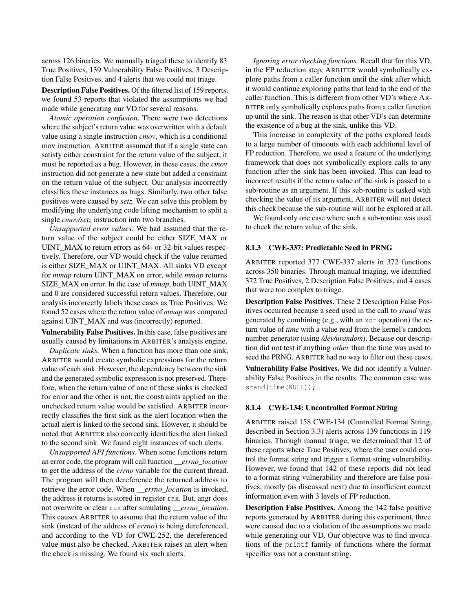across 126 binaries. We manually triaged these to identify 83 True Positives, 139 Vulnerability False Positives, 3 Description False Positives, and 4 alerts that we could not triage.

Description False Positives. Of the filtered list of 159 reports, we found 53 reports that violated the assumptions we had made while generating our VD for several reasons.

*Atomic operation confusion.* There were two detections where the subject's return value was overwritten with a default value using a single instruction *cmov*, which is a conditional mov instruction. ARBITER assumed that if a single state can satisfy either constraint for the return value of the subject, it must be reported as a bug. However, in these cases, the *cmov* instruction did not generate a new state but added a constraint on the return value of the subject. Our analysis incorrectly classifies these instances as bugs. Similarly, two other false positives were caused by *setz*. We can solve this problem by modifying the underlying code lifting mechanism to split a single *cmov/setz* instruction into two branches.

*Unsupported error values.* We had assumed that the return value of the subject could be either SIZE\_MAX or UINT MAX to return errors as 64- or 32-bit values respectively. Therefore, our VD would check if the value returned is either SIZE\_MAX or UINT\_MAX. All sinks VD except for *mmap* return UINT\_MAX on error, while *mmap* returns SIZE\_MAX on error. In the case of *mmap*, both UINT\_MAX and 0 are considered successful return values. Therefore, our analysis incorrectly labels these cases as True Positives. We found 52 cases where the return value of *mmap* was compared against UINT\_MAX and was (incorrectly) reported.

Vulnerability False Positives. In this case, false positives are usually caused by limitations in ARBITER's analysis engine.

*Duplicate sinks.* When a function has more than one sink, ARBITER would create symbolic expressions for the return value of each sink. However, the dependency between the sink and the generated symbolic expression is not preserved. Therefore, when the return value of one of these sinks is checked for error and the other is not, the constraints applied on the unchecked return value would be satisfied. ARBITER incorrectly classifies the first sink as the alert location when the actual alert is linked to the second sink. However, it should be noted that ARBITER also correctly identifies the alert linked to the second sink. We found eight instances of such alerts.

*Unsupported API functions.* When some functions return an error code, the program will call function *\_\_errno\_location* to get the address of the *errno* variable for the current thread. The program will then dereference the returned address to retrieve the error code. When *\_\_errno\_location* is invoked, the address it returns is stored in register rax. But, angr does not overwrite or clear rax after simulating *errno location*. This causes ARBITER to assume that the return value of the sink (instead of the address of *errno*) is being dereferenced, and according to the VD for CWE-252, the dereferenced value must also be checked. ARBITER raises an alert when the check is missing. We found six such alerts.

*Ignoring error checking functions.* Recall that for this VD, in the FP reduction step, ARBITER would symbolically explore paths from a caller function until the sink after which it would continue exploring paths that lead to the end of the caller function. This is different from other VD's where AR-BITER only symbolically explores paths from a caller function up until the sink. The reason is that other VD's can determine the existence of a bug at the sink, unlike this VD.

This increase in complexity of the paths explored leads to a large number of timeouts with each additional level of FP reduction. Therefore, we used a feature of the underlying framework that does not symbolically explore calls to any function after the sink has been invoked. This can lead to incorrect results if the return value of the sink is passed to a sub-routine as an argument. If this sub-routine is tasked with checking the value of its argument, ARBITER will not detect this check because the sub-routine will not be explored at all.

We found only one case where such a sub-routine was used to check the return value of the sink.

#### 8.1.3 CWE-337: Predictable Seed in PRNG

ARBITER reported 377 CWE-337 alerts in 372 functions across 350 binaries. Through manual triaging, we identified 372 True Positives, 2 Description False Positives, and 4 cases that were too complex to triage.

Description False Positives. These 2 Description False Positives occurred because a seed used in the call to *srand* was generated by combining (e.g., with an xor operation) the return value of *time* with a value read from the kernel's random number generator (using */dev/urandom*). Because our description did not test if anything *other* than the time was used to seed the PRNG, ARBITER had no way to filter out these cases.

Vulnerability False Positives. We did not identify a Vulnerability False Positives in the results. The common case was srand(time(NULL));.

#### <span id="page-9-0"></span>8.1.4 CWE-134: Uncontrolled Format String

ARBITER raised 158 CWE-134 (Controlled Format String, described in Section [3.3\)](#page-4-2) alerts across 139 functions in 119 binaries. Through manual triage, we determined that 12 of these reports where True Positives, where the user could control the format string and trigger a format string vulnerability. However, we found that 142 of these reports did not lead to a format string vulnerability and therefore are false positives, mostly (as discussed next) due to insufficient context information even with 3 levels of FP reduction.

Description False Positives. Among the 142 false positive reports generated by ARBITER during this experiment, three were caused due to a violation of the assumptions we made while generating our VD. Our objective was to find invocations of the printf family of functions where the format specifier was not a constant string.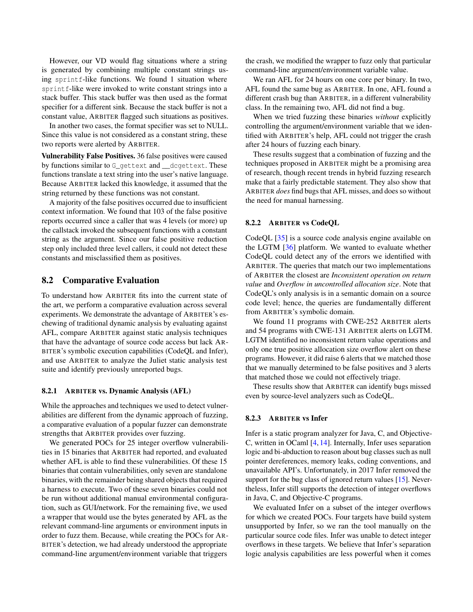However, our VD would flag situations where a string is generated by combining multiple constant strings using sprintf-like functions. We found 1 situation where sprintf-like were invoked to write constant strings into a stack buffer. This stack buffer was then used as the format specifier for a different sink. Because the stack buffer is not a constant value, ARBITER flagged such situations as positives.

In another two cases, the format specifier was set to NULL. Since this value is not considered as a constant string, these two reports were alerted by ARBITER.

Vulnerability False Positives. 36 false positives were caused by functions similar to G\_gettext and \_\_dcgettext. These functions translate a text string into the user's native language. Because ARBITER lacked this knowledge, it assumed that the string returned by these functions was not constant.

A majority of the false positives occurred due to insufficient context information. We found that 103 of the false positive reports occurred since a caller that was 4 levels (or more) up the callstack invoked the subsequent functions with a constant string as the argument. Since our false positive reduction step only included three level callers, it could not detect these constants and misclassified them as positives.

## 8.2 Comparative Evaluation

To understand how ARBITER fits into the current state of the art, we perform a comparative evaluation across several experiments. We demonstrate the advantage of ARBITER's eschewing of traditional dynamic analysis by evaluating against AFL, compare ARBITER against static analysis techniques that have the advantage of source code access but lack AR-BITER's symbolic execution capabilities (CodeQL and Infer), and use ARBITER to analyze the Juliet static analysis test suite and identify previously unreported bugs.

#### 8.2.1 ARBITER vs. Dynamic Analysis (AFL)

While the approaches and techniques we used to detect vulnerabilities are different from the dynamic approach of fuzzing, a comparative evaluation of a popular fuzzer can demonstrate strengths that ARBITER provides over fuzzing.

We generated POCs for 25 integer overflow vulnerabilities in 15 binaries that ARBITER had reported, and evaluated whether AFL is able to find these vulnerabilities. Of these 15 binaries that contain vulnerabilities, only seven are standalone binaries, with the remainder being shared objects that required a harness to execute. Two of these seven binaries could not be run without additional manual environmental configuration, such as GUI/network. For the remaining five, we used a wrapper that would use the bytes generated by AFL as the relevant command-line arguments or environment inputs in order to fuzz them. Because, while creating the POCs for AR-BITER's detection, we had already understood the appropriate command-line argument/environment variable that triggers

the crash, we modified the wrapper to fuzz only that particular command-line argument/environment variable value.

We ran AFL for 24 hours on one core per binary. In two, AFL found the same bug as ARBITER. In one, AFL found a different crash bug than ARBITER, in a different vulnerability class. In the remaining two, AFL did not find a bug.

When we tried fuzzing these binaries *without* explicitly controlling the argument/environment variable that we identified with ARBITER's help, AFL could not trigger the crash after 24 hours of fuzzing each binary.

These results suggest that a combination of fuzzing and the techniques proposed in ARBITER might be a promising area of research, though recent trends in hybrid fuzzing research make that a fairly predictable statement. They also show that ARBITER *does* find bugs that AFL misses, and does so without the need for manual harnessing.

#### 8.2.2 ARBITER vs CodeQL

CodeQL [\[35\]](#page-14-1) is a source code analysis engine available on the LGTM [\[36\]](#page-14-24) platform. We wanted to evaluate whether CodeQL could detect any of the errors we identified with ARBITER. The queries that match our two implementations of ARBITER the closest are *Inconsistent operation on return value* and *Overflow in uncontrolled allocation size*. Note that CodeQL's only analysis is in a semantic domain on a source code level; hence, the queries are fundamentally different from ARBITER's symbolic domain.

We found 11 programs with CWE-252 ARBITER alerts and 54 programs with CWE-131 ARBITER alerts on LGTM. LGTM identified no inconsistent return value operations and only one true positive allocation size overflow alert on these programs. However, it did raise 6 alerts that we matched those that we manually determined to be false positives and 3 alerts that matched those we could not effectively triage.

These results show that ARBITER can identify bugs missed even by source-level analyzers such as CodeQL.

#### 8.2.3 ARBITER vs Infer

Infer is a static program analyzer for Java, C, and Objective-C, written in OCaml [\[4,](#page-13-16) [14\]](#page-13-17). Internally, Infer uses separation logic and bi-abduction to reason about bug classes such as null pointer dereferences, memory leaks, coding conventions, and unavailable API's. Unfortunately, in 2017 Infer removed the support for the bug class of ignored return values [\[15\]](#page-13-18). Nevertheless, Infer still supports the detection of integer overflows in Java, C, and Objective-C programs.

We evaluated Infer on a subset of the integer overflows for which we created POCs. Four targets have build system unsupported by Infer, so we ran the tool manually on the particular source code files. Infer was unable to detect integer overflows in these targets. We believe that Infer's separation logic analysis capabilities are less powerful when it comes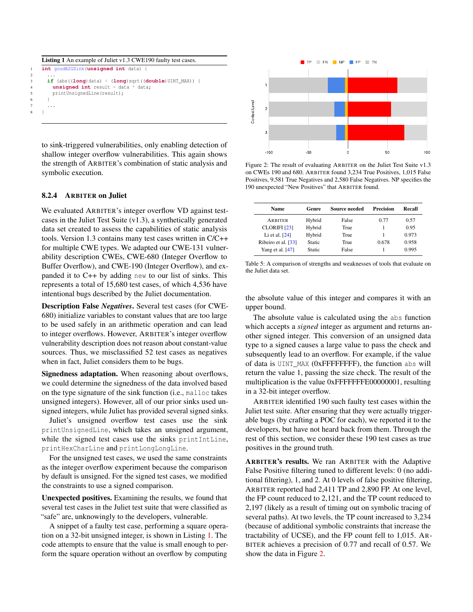```
Listing 1 An example of Juliet v1.3 CWE190 faulty test cases.
   1 int goodB2GSink(unsigned int data) {
2 ...
     3 if (abs((long)data) < (long)sqrt((double)UINT_MAX)) {
       unsigned int result = data * data;
       printUnsignedLine(result);
6 }
7 ...
8 }
```
to sink-triggered vulnerabilities, only enabling detection of shallow integer overflow vulnerabilities. This again shows the strength of ARBITER's combination of static analysis and symbolic execution.

#### 8.2.4 ARBITER on Juliet

We evaluated ARBITER's integer overflow VD against testcases in the Juliet Test Suite (v1.3), a synthetically generated data set created to assess the capabilities of static analysis tools. Version 1.3 contains many test cases written in C/C++ for multiple CWE types. We adapted our CWE-131 vulnerability description CWEs, CWE-680 (Integer Overflow to Buffer Overflow), and CWE-190 (Integer Overflow), and expanded it to C++ by adding new to our list of sinks. This represents a total of 15,680 test cases, of which 4,536 have intentional bugs described by the Juliet documentation.

Description False *Negatives*. Several test cases (for CWE-680) initialize variables to constant values that are too large to be used safely in an arithmetic operation and can lead to integer overflows. However, ARBITER's integer overflow vulnerability description does not reason about constant-value sources. Thus, we misclassified 52 test cases as negatives when in fact, Juliet considers them to be bugs.

Signedness adaptation. When reasoning about overflows, we could determine the signedness of the data involved based on the type signature of the sink function (i.e., malloc takes unsigned integers). However, all of our prior sinks used unsigned integers, while Juliet has provided several signed sinks.

Juliet's unsigned overflow test cases use the sink printUnsignedLine, which takes an unsigned argument, while the signed test cases use the sinks printIntLine, printHexCharLine and printLongLongLine.

For the unsigned test cases, we used the same constraints as the integer overflow experiment because the comparison by default is unsigned. For the signed test cases, we modified the constraints to use a signed comparison.

Unexpected positives. Examining the results, we found that several test cases in the Juliet test suite that were classified as "safe" are, unknowingly to the developers, vulnerable.

A snippet of a faulty test case, performing a square operation on a 32-bit unsigned integer, is shown in Listing [1.](#page-11-0) The code attempts to ensure that the value is small enough to perform the square operation without an overflow by computing

<span id="page-11-1"></span>

Figure 2: The result of evaluating ARBITER on the Juliet Test Suite v1.3 on CWEs 190 and 680. ARBITER found 3,234 True Positives, 1,015 False Positives, 9,581 True Negatives and 2,580 False Negatives. NP specifies the 190 unexpected "New Positives" that ARBITER found.

<span id="page-11-2"></span>

| <b>Name</b>         | <b>Source needed</b><br>Genre |       | Precision | Recall |  |
|---------------------|-------------------------------|-------|-----------|--------|--|
| ARBITER             | Hybrid                        | False | 0.77      | 0.57   |  |
| <b>CLORIFI</b> [23] | Hybrid                        | True  |           | 0.95   |  |
| Li et al. $[24]$    | Hybrid                        | True  |           | 0.973  |  |
| Ribeiro et al. [33] | Static                        | True  | 0.678     | 0.958  |  |
| Yang et al. $[47]$  | Static                        | False |           | 0.995  |  |

Table 5: A comparison of strengths and weaknesses of tools that evaluate on the Juliet data set.

the absolute value of this integer and compares it with an upper bound.

The absolute value is calculated using the abs function which accepts a *signed* integer as argument and returns another signed integer. This conversion of an unsigned data type to a signed causes a large value to pass the check and subsequently lead to an overflow. For example, if the value of data is UINT\_MAX (0xFFFFFFFF), the function abs will return the value 1, passing the size check. The result of the multiplication is the value 0xFFFFFFFE00000001, resulting in a 32-bit integer overflow.

ARBITER identified 190 such faulty test cases within the Juliet test suite. After ensuring that they were actually triggerable bugs (by crafting a POC for each), we reported it to the developers, but have not heard back from them. Through the rest of this section, we consider these 190 test cases as true positives in the ground truth.

ARBITER's results. We ran ARBITER with the Adaptive False Positive filtering tuned to different levels: 0 (no additional filtering), 1, and 2. At 0 levels of false positive filtering, ARBITER reported had 2,411 TP and 2,890 FP. At one level, the FP count reduced to 2,121, and the TP count reduced to 2,197 (likely as a result of timing out on symbolic tracing of several paths). At two levels, the TP count increased to 3,234 (because of additional symbolic constraints that increase the tractability of UCSE), and the FP count fell to 1,015. AR-BITER achieves a precision of 0.77 and recall of 0.57. We show the data in Figure [2.](#page-11-1)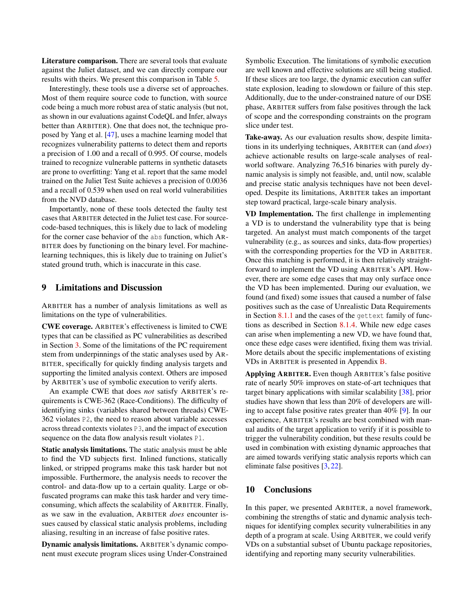Literature comparison. There are several tools that evaluate against the Juliet dataset, and we can directly compare our results with theirs. We present this comparison in Table [5.](#page-11-2)

Interestingly, these tools use a diverse set of approaches. Most of them require source code to function, with source code being a much more robust area of static analysis (but not, as shown in our evaluations against CodeQL and Infer, always better than ARBITER). One that does not, the technique proposed by Yang et al. [\[47\]](#page-14-27), uses a machine learning model that recognizes vulnerability patterns to detect them and reports a precision of 1.00 and a recall of 0.995. Of course, models trained to recognize vulnerable patterns in synthetic datasets are prone to overfitting: Yang et al. report that the same model trained on the Juliet Test Suite achieves a precision of 0.0036 and a recall of 0.539 when used on real world vulnerabilities from the NVD database.

Importantly, none of these tools detected the faulty test cases that ARBITER detected in the Juliet test case. For sourcecode-based techniques, this is likely due to lack of modeling for the corner case behavior of the abs function, which AR-BITER does by functioning on the binary level. For machinelearning techniques, this is likely due to training on Juliet's stated ground truth, which is inaccurate in this case.

#### 9 Limitations and Discussion

ARBITER has a number of analysis limitations as well as limitations on the type of vulnerabilities.

CWE coverage. ARBITER's effectiveness is limited to CWE types that can be classified as PC vulnerabilities as described in Section [3.](#page-2-0) Some of the limitations of the PC requirement stem from underpinnings of the static analyses used by AR-BITER, specifically for quickly finding analysis targets and supporting the limited analysis context. Others are imposed by ARBITER's use of symbolic execution to verify alerts.

An example CWE that does *not* satisfy ARBITER's requirements is CWE-362 (Race-Conditions). The difficulty of identifying sinks (variables shared between threads) CWE-362 violates P2, the need to reason about variable accesses across thread contexts violates P3, and the impact of execution sequence on the data flow analysis result violates P1.

Static analysis limitations. The static analysis must be able to find the VD subjects first. Inlined functions, statically linked, or stripped programs make this task harder but not impossible. Furthermore, the analysis needs to recover the control- and data-flow up to a certain quality. Large or obfuscated programs can make this task harder and very timeconsuming, which affects the scalability of ARBITER. Finally, as we saw in the evaluation, ARBITER *does* encounter issues caused by classical static analysis problems, including aliasing, resulting in an increase of false positive rates.

Dynamic analysis limitations. ARBITER's dynamic component must execute program slices using Under-Constrained

Symbolic Execution. The limitations of symbolic execution are well known and effective solutions are still being studied. If these slices are too large, the dynamic execution can suffer state explosion, leading to slowdown or failure of this step. Additionally, due to the under-constrained nature of our DSE phase, ARBITER suffers from false positives through the lack of scope and the corresponding constraints on the program slice under test.

Take-away. As our evaluation results show, despite limitations in its underlying techniques, ARBITER can (and *does*) achieve actionable results on large-scale analyses of realworld software. Analyzing 76,516 binaries with purely dynamic analysis is simply not feasible, and, until now, scalable and precise static analysis techniques have not been developed. Despite its limitations, ARBITER takes an important step toward practical, large-scale binary analysis.

VD Implementation. The first challenge in implementing a VD is to understand the vulnerability type that is being targeted. An analyst must match components of the target vulnerability (e.g., as sources and sinks, data-flow properties) with the corresponding properties for the VD in ARBITER. Once this matching is performed, it is then relatively straightforward to implement the VD using ARBITER's API. However, there are some edge cases that may only surface once the VD has been implemented. During our evaluation, we found (and fixed) some issues that caused a number of false positives such as the case of Unrealistic Data Requirements in Section [8.1.1](#page-8-0) and the cases of the gettext family of functions as described in Section [8.1.4.](#page-9-0) While new edge cases can arise when implementing a new VD, we have found that, once these edge cases were identified, fixing them was trivial. More details about the specific implementations of existing VDs in ARBITER is presented in Appendix [B.](#page-15-1)

Applying ARBITER. Even though ARBITER's false positive rate of nearly 50% improves on state-of-art techniques that target binary applications with similar scalability [\[38\]](#page-14-19), prior studies have shown that less than 20% of developers are willing to accept false positive rates greater than 40% [\[9\]](#page-13-20). In our experience, ARBITER's results are best combined with manual audits of the target application to verify if it is possible to trigger the vulnerability condition, but these results could be used in combination with existing dynamic approaches that are aimed towards verifying static analysis reports which can eliminate false positives [\[3,](#page-13-21) [22\]](#page-13-22).

#### 10 Conclusions

In this paper, we presented ARBITER, a novel framework, combining the strengths of static and dynamic analysis techniques for identifying complex security vulnerabilities in any depth of a program at scale. Using ARBITER, we could verify VDs on a substantial subset of Ubuntu package repositories, identifying and reporting many security vulnerabilities.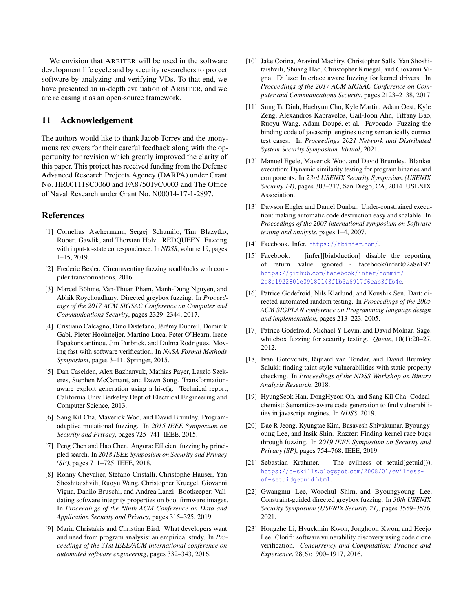We envision that ARBITER will be used in the software development life cycle and by security researchers to protect software by analyzing and verifying VDs. To that end, we have presented an in-depth evaluation of ARBITER, and we are releasing it as an open-source framework.

## 11 Acknowledgement

The authors would like to thank Jacob Torrey and the anonymous reviewers for their careful feedback along with the opportunity for revision which greatly improved the clarity of this paper. This project has received funding from the Defense Advanced Research Projects Agency (DARPA) under Grant No. HR001118C0060 and FA875019C0003 and The Office of Naval Research under Grant No. N00014-17-1-2897.

### References

- <span id="page-13-2"></span>[1] Cornelius Aschermann, Sergej Schumilo, Tim Blazytko, Robert Gawlik, and Thorsten Holz. REDQUEEN: Fuzzing with input-to-state correspondence. In *NDSS*, volume 19, pages 1–15, 2019.
- <span id="page-13-3"></span>[2] Frederic Besler. Circumventing fuzzing roadblocks with compiler transformations, 2016.
- <span id="page-13-21"></span>[3] Marcel Böhme, Van-Thuan Pham, Manh-Dung Nguyen, and Abhik Roychoudhury. Directed greybox fuzzing. In *Proceedings of the 2017 ACM SIGSAC Conference on Computer and Communications Security*, pages 2329–2344, 2017.
- <span id="page-13-16"></span>[4] Cristiano Calcagno, Dino Distefano, Jérémy Dubreil, Dominik Gabi, Pieter Hooimeijer, Martino Luca, Peter O'Hearn, Irene Papakonstantinou, Jim Purbrick, and Dulma Rodriguez. Moving fast with software verification. In *NASA Formal Methods Symposium*, pages 3–11. Springer, 2015.
- <span id="page-13-7"></span>[5] Dan Caselden, Alex Bazhanyuk, Mathias Payer, Laszlo Szekeres, Stephen McCamant, and Dawn Song. Transformationaware exploit generation using a hi-cfg. Technical report, California Univ Berkeley Dept of Electrical Engineering and Computer Science, 2013.
- <span id="page-13-8"></span>[6] Sang Kil Cha, Maverick Woo, and David Brumley. Programadaptive mutational fuzzing. In *2015 IEEE Symposium on Security and Privacy*, pages 725–741. IEEE, 2015.
- <span id="page-13-4"></span>[7] Peng Chen and Hao Chen. Angora: Efficient fuzzing by principled search. In *2018 IEEE Symposium on Security and Privacy (SP)*, pages 711–725. IEEE, 2018.
- <span id="page-13-11"></span>[8] Ronny Chevalier, Stefano Cristalli, Christophe Hauser, Yan Shoshitaishvili, Ruoyu Wang, Christopher Kruegel, Giovanni Vigna, Danilo Bruschi, and Andrea Lanzi. Bootkeeper: Validating software integrity properties on boot firmware images. In *Proceedings of the Ninth ACM Conference on Data and Application Security and Privacy*, pages 315–325, 2019.
- <span id="page-13-20"></span>[9] Maria Christakis and Christian Bird. What developers want and need from program analysis: an empirical study. In *Proceedings of the 31st IEEE/ACM international conference on automated software engineering*, pages 332–343, 2016.
- <span id="page-13-5"></span>[10] Jake Corina, Aravind Machiry, Christopher Salls, Yan Shoshitaishvili, Shuang Hao, Christopher Kruegel, and Giovanni Vigna. Difuze: Interface aware fuzzing for kernel drivers. In *Proceedings of the 2017 ACM SIGSAC Conference on Computer and Communications Security*, pages 2123–2138, 2017.
- <span id="page-13-6"></span>[11] Sung Ta Dinh, Haehyun Cho, Kyle Martin, Adam Oest, Kyle Zeng, Alexandros Kapravelos, Gail-Joon Ahn, Tiffany Bao, Ruoyu Wang, Adam Doupé, et al. Favocado: Fuzzing the binding code of javascript engines using semantically correct test cases. In *Proceedings 2021 Network and Distributed System Security Symposium, Virtual*, 2021.
- <span id="page-13-14"></span>[12] Manuel Egele, Maverick Woo, and David Brumley. Blanket execution: Dynamic similarity testing for program binaries and components. In *23rd USENIX Security Symposium (USENIX Security 14)*, pages 303–317, San Diego, CA, 2014. USENIX Association.
- <span id="page-13-15"></span>[13] Dawson Engler and Daniel Dunbar. Under-constrained execution: making automatic code destruction easy and scalable. In *Proceedings of the 2007 international symposium on Software testing and analysis*, pages 1–4, 2007.
- <span id="page-13-17"></span>[14] Facebook. Infer. [https://fbinfer](https://fbinfer.com/).com/.
- <span id="page-13-18"></span>[15] Facebook. [infer][biabduction] disable the reporting of return value ignored · facebook/infer@2a8e192. https://github.[com/facebook/infer/commit/](https://github.com/facebook/infer/commit/2a8e1922801e09180143f1b5a6917f6cab3ffb4e) [2a8e1922801e09180143f1b5a6917f6cab3ffb4e](https://github.com/facebook/infer/commit/2a8e1922801e09180143f1b5a6917f6cab3ffb4e).
- <span id="page-13-9"></span>[16] Patrice Godefroid, Nils Klarlund, and Koushik Sen. Dart: directed automated random testing. In *Proceedings of the 2005 ACM SIGPLAN conference on Programming language design and implementation*, pages 213–223, 2005.
- <span id="page-13-10"></span>[17] Patrice Godefroid, Michael Y Levin, and David Molnar. Sage: whitebox fuzzing for security testing. *Queue*, 10(1):20–27, 2012.
- <span id="page-13-12"></span>[18] Ivan Gotovchits, Rijnard van Tonder, and David Brumley. Saluki: finding taint-style vulnerabilities with static property checking. In *Proceedings of the NDSS Workshop on Binary Analysis Research*, 2018.
- <span id="page-13-1"></span>[19] HyungSeok Han, DongHyeon Oh, and Sang Kil Cha. Codealchemist: Semantics-aware code generation to find vulnerabilities in javascript engines. In *NDSS*, 2019.
- <span id="page-13-0"></span>[20] Dae R Jeong, Kyungtae Kim, Basavesh Shivakumar, Byoungyoung Lee, and Insik Shin. Razzer: Finding kernel race bugs through fuzzing. In *2019 IEEE Symposium on Security and Privacy (SP)*, pages 754–768. IEEE, 2019.
- <span id="page-13-13"></span>[21] Sebastian Krahmer. The evilness of setuid(getuid()). https://c-skills.blogspot.[com/2008/01/evilness](https://c-skills.blogspot.com/2008/01/evilness-of-setuidgetuid.html)[of-setuidgetuid](https://c-skills.blogspot.com/2008/01/evilness-of-setuidgetuid.html).html.
- <span id="page-13-22"></span>[22] Gwangmu Lee, Woochul Shim, and Byoungyoung Lee. Constraint-guided directed greybox fuzzing. In *30th USENIX Security Symposium (USENIX Security 21)*, pages 3559–3576, 2021.
- <span id="page-13-19"></span>[23] Hongzhe Li, Hyuckmin Kwon, Jonghoon Kwon, and Heejo Lee. Clorifi: software vulnerability discovery using code clone verification. *Concurrency and Computation: Practice and Experience*, 28(6):1900–1917, 2016.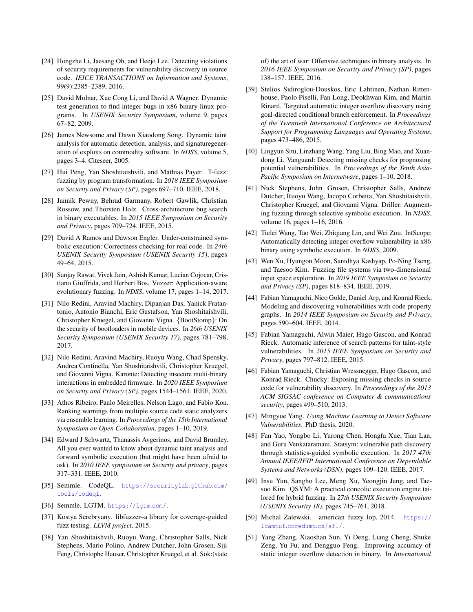- <span id="page-14-25"></span>[24] Hongzhe Li, Jaesang Oh, and Heejo Lee. Detecting violations of security requirements for vulnerability discovery in source code. *IEICE TRANSACTIONS on Information and Systems*, 99(9):2385–2389, 2016.
- <span id="page-14-11"></span>[25] David Molnar, Xue Cong Li, and David A Wagner. Dynamic test generation to find integer bugs in x86 binary linux programs. In *USENIX Security Symposium*, volume 9, pages 67–82, 2009.
- <span id="page-14-17"></span>[26] James Newsome and Dawn Xiaodong Song. Dynamic taint analysis for automatic detection, analysis, and signaturegeneration of exploits on commodity software. In *NDSS*, volume 5, pages 3–4. Citeseer, 2005.
- <span id="page-14-5"></span>[27] Hui Peng, Yan Shoshitaishvili, and Mathias Payer. T-fuzz: fuzzing by program transformation. In *2018 IEEE Symposium on Security and Privacy (SP)*, pages 697–710. IEEE, 2018.
- <span id="page-14-20"></span>[28] Jannik Pewny, Behrad Garmany, Robert Gawlik, Christian Rossow, and Thorsten Holz. Cross-architecture bug search in binary executables. In *2015 IEEE Symposium on Security and Privacy*, pages 709–724. IEEE, 2015.
- <span id="page-14-23"></span>[29] David A Ramos and Dawson Engler. Under-constrained symbolic execution: Correctness checking for real code. In *24th USENIX Security Symposium (USENIX Security 15)*, pages 49–64, 2015.
- <span id="page-14-6"></span>[30] Sanjay Rawat, Vivek Jain, Ashish Kumar, Lucian Cojocar, Cristiano Giuffrida, and Herbert Bos. Vuzzer: Application-aware evolutionary fuzzing. In *NDSS*, volume 17, pages 1–14, 2017.
- <span id="page-14-21"></span>[31] Nilo Redini, Aravind Machiry, Dipanjan Das, Yanick Fratantonio, Antonio Bianchi, Eric Gustafson, Yan Shoshitaishvili, Christopher Kruegel, and Giovanni Vigna. {BootStomp}: On the security of bootloaders in mobile devices. In *26th USENIX Security Symposium (USENIX Security 17)*, pages 781–798, 2017.
- <span id="page-14-22"></span>[32] Nilo Redini, Aravind Machiry, Ruoyu Wang, Chad Spensky, Andrea Continella, Yan Shoshitaishvili, Christopher Kruegel, and Giovanni Vigna. Karonte: Detecting insecure multi-binary interactions in embedded firmware. In *2020 IEEE Symposium on Security and Privacy (SP)*, pages 1544–1561. IEEE, 2020.
- <span id="page-14-26"></span>[33] Athos Ribeiro, Paulo Meirelles, Nelson Lago, and Fabio Kon. Ranking warnings from multiple source code static analyzers via ensemble learning. In *Proceedings of the 15th International Symposium on Open Collaboration*, pages 1–10, 2019.
- <span id="page-14-18"></span>[34] Edward J Schwartz, Thanassis Avgerinos, and David Brumley. All you ever wanted to know about dynamic taint analysis and forward symbolic execution (but might have been afraid to ask). In *2010 IEEE symposium on Security and privacy*, pages 317–331. IEEE, 2010.
- <span id="page-14-1"></span>[35] Semmle. CodeQL. [https://securitylab](https://securitylab.github.com/tools/codeql).github.com/ [tools/codeql](https://securitylab.github.com/tools/codeql).
- <span id="page-14-24"></span>[36] Semmle. LGTM. [https://lgtm](https://lgtm.com/).com/.
- <span id="page-14-7"></span>[37] Kostya Serebryany. libfuzzer–a library for coverage-guided fuzz testing. *LLVM project*, 2015.
- <span id="page-14-19"></span>[38] Yan Shoshitaishvili, Ruoyu Wang, Christopher Salls, Nick Stephens, Mario Polino, Andrew Dutcher, John Grosen, Siji Feng, Christophe Hauser, Christopher Kruegel, et al. Sok:(state

of) the art of war: Offensive techniques in binary analysis. In *2016 IEEE Symposium on Security and Privacy (SP)*, pages 138–157. IEEE, 2016.

- <span id="page-14-13"></span>[39] Stelios Sidiroglou-Douskos, Eric Lahtinen, Nathan Rittenhouse, Paolo Piselli, Fan Long, Deokhwan Kim, and Martin Rinard. Targeted automatic integer overflow discovery using goal-directed conditional branch enforcement. In *Proceedings of the Twentieth International Conference on Architectural Support for Programming Languages and Operating Systems*, pages 473–486, 2015.
- <span id="page-14-4"></span>[40] Lingyun Situ, Linzhang Wang, Yang Liu, Bing Mao, and Xuandong Li. Vanguard: Detecting missing checks for prognosing potential vulnerabilities. In *Proceedings of the Tenth Asia-Pacific Symposium on Internetware*, pages 1–10, 2018.
- <span id="page-14-8"></span>[41] Nick Stephens, John Grosen, Christopher Salls, Andrew Dutcher, Ruoyu Wang, Jacopo Corbetta, Yan Shoshitaishvili, Christopher Kruegel, and Giovanni Vigna. Driller: Augmenting fuzzing through selective symbolic execution. In *NDSS*, volume 16, pages 1–16, 2016.
- <span id="page-14-15"></span>[42] Tielei Wang, Tao Wei, Zhiqiang Lin, and Wei Zou. IntScope: Automatically detecting integer overflow vulnerability in x86 binary using symbolic execution. In *NDSS*, 2009.
- <span id="page-14-0"></span>[43] Wen Xu, Hyungon Moon, Sanidhya Kashyap, Po-Ning Tseng, and Taesoo Kim. Fuzzing file systems via two-dimensional input space exploration. In *2019 IEEE Symposium on Security and Privacy (SP)*, pages 818–834. IEEE, 2019.
- <span id="page-14-2"></span>[44] Fabian Yamaguchi, Nico Golde, Daniel Arp, and Konrad Rieck. Modeling and discovering vulnerabilities with code property graphs. In *2014 IEEE Symposium on Security and Privacy*, pages 590–604. IEEE, 2014.
- <span id="page-14-16"></span>[45] Fabian Yamaguchi, Alwin Maier, Hugo Gascon, and Konrad Rieck. Automatic inference of search patterns for taint-style vulnerabilities. In *2015 IEEE Symposium on Security and Privacy*, pages 797–812. IEEE, 2015.
- <span id="page-14-3"></span>[46] Fabian Yamaguchi, Christian Wressnegger, Hugo Gascon, and Konrad Rieck. Chucky: Exposing missing checks in source code for vulnerability discovery. In *Proceedings of the 2013 ACM SIGSAC conference on Computer & communications security*, pages 499–510, 2013.
- <span id="page-14-27"></span>[47] Mingyue Yang. *Using Machine Learning to Detect Software Vulnerabilities*. PhD thesis, 2020.
- <span id="page-14-12"></span>[48] Fan Yao, Yongbo Li, Yurong Chen, Hongfa Xue, Tian Lan, and Guru Venkataramani. Statsym: vulnerable path discovery through statistics-guided symbolic execution. In *2017 47th Annual IEEE/IFIP International Conference on Dependable Systems and Networks (DSN)*, pages 109–120. IEEE, 2017.
- <span id="page-14-9"></span>[49] Insu Yun, Sangho Lee, Meng Xu, Yeongjin Jang, and Taesoo Kim. QSYM: A practical concolic execution engine tailored for hybrid fuzzing. In *27th USENIX Security Symposium (USENIX Security 18)*, pages 745–761, 2018.
- <span id="page-14-10"></span>[50] Michal Zalewski. american fuzzy lop, 2014. [https://](https://lcamtuf.coredump.cx/afl/) lcamtuf.[coredump](https://lcamtuf.coredump.cx/afl/).cx/afl/.
- <span id="page-14-14"></span>[51] Yang Zhang, Xiaoshan Sun, Yi Deng, Liang Cheng, Shuke Zeng, Yu Fu, and Dengguo Feng. Improving accuracy of static integer overflow detection in binary. In *International*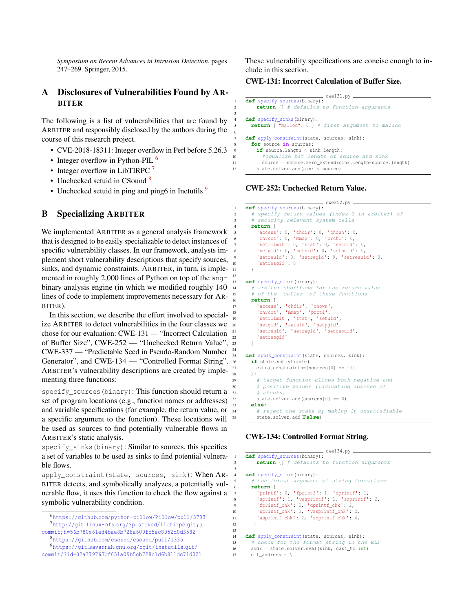*Symposium on Recent Advances in Intrusion Detection*, pages 247–269. Springer, 2015.

## <span id="page-15-0"></span>A Disclosures of Vulnerabilities Found by AR-BITER

The following is a list of vulnerabilities that are found by ARBITER and responsibly disclosed by the authors during the course of this research project.

- CVE-2018-18311: Integer overflow in Perl before 5.26.3
- Integer overflow in Python-PIL  $^6$  $^6$
- Integer overflow in LibTIRPC  $<sup>7</sup>$  $<sup>7</sup>$  $<sup>7</sup>$ </sup>
- Unchecked setuid in CSound<sup>[8](#page-15-4)</sup>
- Unchecked setuid in ping and ping6 in Inetutils  $9$

### <span id="page-15-1"></span>B Specializing ARBITER

We implemented ARBITER as a general analysis framework that is designed to be easily specializable to detect instances of specific vulnerability classes. In our framework, analysts implement short vulnerability descriptions that specify sources, sinks, and dynamic constraints. ARBITER, in turn, is implemented in roughly 2,000 lines of Python on top of the angr binary analysis engine (in which we modified roughly 140 lines of code to implement improvements necessary for AR-BITER).

In this section, we describe the effort involved to specialize ARBITER to detect vulnerabilities in the four classes we chose for our evaluation: CWE-131 — "Incorrect Calculation of Buffer Size", CWE-252 — "Unchecked Return Value", CWE-337 — "Predictable Seed in Pseudo-Random Number Generator", and CWE-134 — "Controlled Format String". ARBITER's vulnerability descriptions are created by implementing three functions:

specify\_sources(binary): This function should return a set of program locations (e.g., function names or addresses) and variable specifications (for example, the return value, or a specific argument to the function). These locations will be used as sources to find potentially vulnerable flows in ARBITER's static analysis.

specify\_sinks(binary): Similar to sources, this specifies a set of variables to be used as sinks to find potential vulnerable flows.

apply\_constraint(state, sources, sink): When AR-BITER detects, and symbolically analyzes, a potentially vulnerable flow, it uses this function to check the flow against a symbolic vulnerability condition.

These vulnerability specifications are concise enough to include in this section.

#### CWE-131: Incorrect Calculation of Buffer Size.

```
cwe131.py
    def specify_sources(binary):
        2 return {} # defaults to function arguments
    4 def specify_sinks(binary):
      5 return { "malloc": 0 } # first argument to malloc
    def apply_constraint(state, sources, sink):
      for source in sources:
        if source.length < sink.length:
          #equalize bit length of source and sink
11 source = source.zero_extend(sink.length-source.length)
12 state.solver.add(sink < source)
```
#### CWE-252: Unchecked Return Value.

3

6

11 } 12

24

13

```
cwe252.py
     def specify_sources(binary):
      # specify return values (index 0 in arbiter) of
        security-relevant system calls
      4 return {
         'access': 0, 'chdir': 0, 'chown': 0,
         6 'chroot': 0, 'mmap': 0, 'prctl': 0,
         7 'setrlimit': 0, 'stat': 0, 'setuid': 0,
         'setgid': 0, 'setsid': 0, 'setpgid': 0,
         9 'setreuid': 0, 'setregid': 0, 'setresuid': 0,
         'setresgid': 0
     def specify_sinks(binary):
      # arbiter shorthand for the return value
15 # of the _caller_ of these functions
      16 return [
         access', 'chdir', 'chown',
18 'chroot', 'mmap', 'prctl',
19 'setrlimit', 'stat', 'setuid',
20 'setgid', 'setsid', 'setpgid',
         'setreuid', 'setregid', 'setresuid',
         'setresgid'
23 ]
    def apply constraint(state, sources, sink):
      if state.satisfiable(
27 extra_constraints=[sources[0] == -1]
28 ):
29 # target function allows both negative and
         # positive values (indicating absence of
31 # checks)
32 state.solver.add(sources[0] == 0)
33 else:
         # reject the state by making it unsatisfiable
        35 state.solver.add(False)
```
#### CWE-134: Controlled Format String.

|                | — CWEIJ4.DV ——                                |
|----------------|-----------------------------------------------|
| 1              | def specify_sources(binary):                  |
| $\overline{2}$ | return {} # defaults to function arguments    |
| 3              |                                               |
| $\overline{4}$ | def specify sinks (binary):                   |
| 5              | # the format argument of string formatters    |
| 6              | return {                                      |
| $\overline{7}$ | 'printf': $0$ , 'fprintf': 1, 'dprintf': 1,   |
| 8              | 'sprintf': 1, 'vasprintf': 1, 'snprintf': 2,  |
| $\overline{9}$ | 'fprintf_chk': 2, 'dprintf_chk': 2,           |
| 10             | 'sprintf_chk': 3, 'vasprintf_chk': 2,         |
| 11             | 'asprintf chk': 2, 'snprintf chk': 4,         |
| 12             |                                               |
| 13             |                                               |
| 14             | def apply_constraint(state, sources, sink):   |
| 15             | # check for the format string in the ELF      |
| 16             | $addr = state.solver.eval(sink, cast to=int)$ |
| 17             | elf address = $\setminus$                     |
|                |                                               |

 $\frac{1}{2}$  cm  $\frac{1}{2}$  and  $\frac{1}{2}$ 

<span id="page-15-3"></span><span id="page-15-2"></span><sup>6</sup>https://github.[com/python-pillow/Pillow/pull/3703](https://github.com/python-pillow/Pillow/pull/3703) <sup>7</sup>http://git.linux-nfs.[org/?p=steved/libtirpc](http://git.linux-nfs.org/?p=steved/libtirpc.git;a=commit;h=56b780e61ed4bae8b728a600fc5ac8052d0d3582).git;a= [commit;h=56b780e61ed4bae8b728a600fc5ac8052d0d3582](http://git.linux-nfs.org/?p=steved/libtirpc.git;a=commit;h=56b780e61ed4bae8b728a600fc5ac8052d0d3582)

<span id="page-15-5"></span><span id="page-15-4"></span><sup>8</sup>https://github.[com/csound/csound/pull/1335](https://github.com/csound/csound/pull/1335)

<sup>9</sup>https://git.savannah.gnu.[org/cgit/inetutils](https://git.savannah.gnu.org/cgit/inetutils.git/commit/?id=02a379763bf651a09b5cb728c1d6b811dc71d021).git/ [commit/?id=02a379763bf651a09b5cb728c1d6b811dc71d021](https://git.savannah.gnu.org/cgit/inetutils.git/commit/?id=02a379763bf651a09b5cb728c1d6b811dc71d021)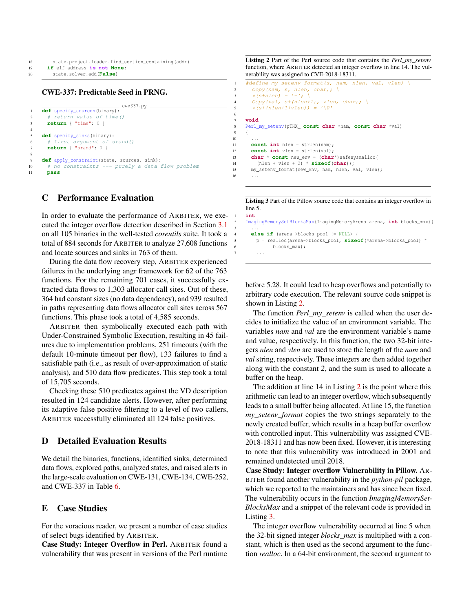- <sup>19</sup> **if** elf\_address **is not None**:
- <sup>20</sup> state.solver.add(**False**)

4

8

#### CWE-337: Predictable Seed in PRNG.

```
cwe337.py
1 def specify_sources(binary):
2 # return value of time()
3 return { "time": 0 }
5 def specify_sinks(binary):
6 # first argument of srand()
7 return { "srand": 0 }
9 def apply_constraint(state, sources, sink):
10 # no constraints --- purely a data flow problem
11 pass
```
### <span id="page-16-0"></span>C Performance Evaluation

In order to evaluate the performance of ARBITER, we executed the integer overflow detection described in Section [3.1](#page-3-2) on all 105 binaries in the well-tested *coreutils* suite. It took a total of 884 seconds for ARBITER to analyze 27,608 functions and locate sources and sinks in 763 of them.

During the data flow recovery step, ARBITER experienced failures in the underlying angr framework for 62 of the 763 functions. For the remaining 701 cases, it successfully extracted data flows to 1,303 allocator call sites. Out of these, 364 had constant sizes (no data dependency), and 939 resulted in paths representing data flows allocator call sites across 567 functions. This phase took a total of 4,585 seconds.

ARBITER then symbolically executed each path with Under-Constrained Symbolic Execution, resulting in 45 failures due to implementation problems, 251 timeouts (with the default 10-minute timeout per flow), 133 failures to find a satisfiable path (i.e., as result of over-approximation of static analysis), and 510 data flow predicates. This step took a total of 15,705 seconds.

Checking these 510 predicates against the VD description resulted in 124 candidate alerts. However, after performing its adaptive false positive filtering to a level of two callers, ARBITER successfully eliminated all 124 false positives.

### <span id="page-16-1"></span>D Detailed Evaluation Results

We detail the binaries, functions, identified sinks, determined data flows, explored paths, analyzed states, and raised alerts in the large-scale evaluation on CWE-131, CWE-134, CWE-252, and CWE-337 in Table [6.](#page-17-0)

### <span id="page-16-2"></span>E Case Studies

For the voracious reader, we present a number of case studies of select bugs identified by ARBITER.

Case Study: Integer Overflow in Perl. ARBITER found a vulnerability that was present in versions of the Perl runtime <span id="page-16-3"></span>Listing 2 Part of the Perl source code that contains the *Perl\_my\_setenv* function, where ARBITER detected an integer overflow in line 14. The vulnerability was assigned to CVE-2018-18311.

```
#define my_setenv_format(s, nam, nlen, val, vlen) \
2 Copy(nam, s, nlen, char); \
        *(s+nlen) = '=';Copy(val, st(nlen+1), vlen, char); \ \n*(s + (nlen+1+vlen)) = ' \0'7 void
8 Perl_my_setenv(pTHX_ const char *nam, const char *val)
\begin{array}{cc} 9 & \phantom{0} \phantom{0} \phantom{0} & 10 \end{array}10 ...
11 const int nlen = strlen(nam);
12 const int vlen = strlen(val);
13 char * const new_env = (char*)safesysmalloc(
14 (nlen + vlen + 2) * sizeof(char));<br>15 my seteny format (new eny, nam, nlen, y
       my_setenv_format(new_env, nam, nlen, val, vlen);
16 ...
```
6

<span id="page-16-4"></span>Listing 3 Part of the Pillow source code that contains an integer overflow in line 5. 1 **int**

<sup>2</sup> ImagingMemorySetBlocksMax(ImagingMemoryArena arena, **int** blocks\_max){ 3 ...

```
4 else if (arena->blocks_pool != NULL) {
       5 p = realloc(arena->blocks_pool, sizeof(*arena->blocks_pool) *
             6 blocks_max);
7 ...
```
before 5.28. It could lead to heap overflows and potentially to arbitrary code execution. The relevant source code snippet is shown in Listing [2.](#page-16-3)

The function *Perl\_my\_setenv* is called when the user decides to initialize the value of an environment variable. The variables *nam* and *val* are the environment variable's name and value, respectively. In this function, the two 32-bit integers *nlen* and *vlen* are used to store the length of the *nam* and *val* string, respectively. These integers are then added together along with the constant *2*, and the sum is used to allocate a buffer on the heap.

The addition at line 14 in Listing [2](#page-16-3) is the point where this arithmetic can lead to an integer overflow, which subsequently leads to a small buffer being allocated. At line 15, the function *my\_setenv\_format* copies the two strings separately to the newly created buffer, which results in a heap buffer overflow with controlled input. This vulnerability was assigned CVE-2018-18311 and has now been fixed. However, it is interesting to note that this vulnerability was introduced in 2001 and remained undetected until 2018.

Case Study: Integer overflow Vulnerability in Pillow. AR-BITER found another vulnerability in the *python-pil* package, which we reported to the maintainers and has since been fixed. The vulnerability occurs in the function *ImagingMemorySet-BlocksMax* and a snippet of the relevant code is provided in Listing [3.](#page-16-4)

The integer overflow vulnerability occurred at line 5 when the 32-bit signed integer *blocks\_max* is multiplied with a constant, which is then used as the second argument to the function *realloc*. In a 64-bit environment, the second argument to